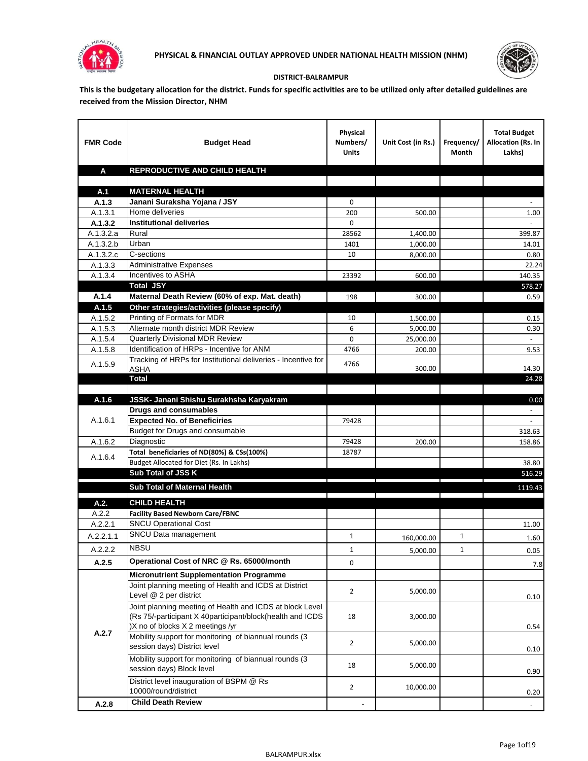



## **DISTRICT-BALRAMPUR**

**This is the budgetary allocation for the district. Funds for specific activities are to be utilized only after detailed guidelines are received from the Mission Director, NHM**

| <b>FMR Code</b>        | <b>Budget Head</b>                                                      | Physical<br>Numbers/<br><b>Units</b> | Unit Cost (in Rs.)                                      | Frequency/<br>Month | <b>Total Budget</b><br>Allocation (Rs. In<br>Lakhs) |
|------------------------|-------------------------------------------------------------------------|--------------------------------------|---------------------------------------------------------|---------------------|-----------------------------------------------------|
| A                      | REPRODUCTIVE AND CHILD HEALTH                                           |                                      |                                                         |                     |                                                     |
|                        |                                                                         |                                      |                                                         |                     |                                                     |
| A.1                    | <b>MATERNAL HEALTH</b>                                                  |                                      |                                                         |                     |                                                     |
| A.1.3                  | Janani Suraksha Yojana / JSY                                            | 0                                    |                                                         |                     |                                                     |
| A.1.3.1                | Home deliveries                                                         | 200                                  | 500.00                                                  |                     | 1.00                                                |
| A.1.3.2                | <b>Institutional deliveries</b>                                         | 0                                    |                                                         |                     |                                                     |
| A.1.3.2.a              | Rural                                                                   | 28562                                | 1,400.00                                                |                     | 399.87                                              |
| $\overline{A.1.3.2.b}$ | Urban                                                                   | 1401                                 | 1,000.00                                                |                     | 14.01                                               |
| A.1.3.2.c              | C-sections                                                              | 10                                   | 8,000.00                                                |                     | 0.80                                                |
| A.1.3.3                | <b>Administrative Expenses</b>                                          |                                      |                                                         |                     | 22.24                                               |
| A.1.3.4                | Incentives to ASHA                                                      | 23392                                | 600.00                                                  |                     | 140.35                                              |
|                        | <b>Total JSY</b>                                                        |                                      |                                                         |                     | 578.27                                              |
| A.1.4                  | Maternal Death Review (60% of exp. Mat. death)                          | 198                                  | 300.00                                                  |                     | 0.59                                                |
| A.1.5                  | Other strategies/activities (please specify)                            |                                      |                                                         |                     |                                                     |
| A.1.5.2                | Printing of Formats for MDR                                             | 10                                   | 1,500.00                                                |                     | 0.15                                                |
| A.1.5.3                | Alternate month district MDR Review<br>Quarterly Divisional MDR Review  | 6                                    | 5,000.00                                                |                     | 0.30                                                |
| A.1.5.4<br>A.1.5.8     | Identification of HRPs - Incentive for ANM                              | 0                                    | 25,000.00                                               |                     |                                                     |
|                        | Tracking of HRPs for Institutional deliveries - Incentive for           | 4766                                 | 200.00                                                  |                     | 9.53                                                |
| A.1.5.9                | <b>ASHA</b>                                                             | 4766                                 | 300.00                                                  |                     | 14.30                                               |
|                        | Total                                                                   |                                      |                                                         |                     | 24.28                                               |
|                        |                                                                         |                                      |                                                         |                     |                                                     |
| A.1.6                  | JSSK- Janani Shishu Surakhsha Karyakram                                 |                                      |                                                         |                     | 0.00                                                |
|                        | <b>Drugs and consumables</b>                                            |                                      |                                                         |                     |                                                     |
| A.1.6.1                | <b>Expected No. of Beneficiries</b>                                     | 79428                                |                                                         |                     | $\sim$                                              |
|                        | Budget for Drugs and consumable                                         |                                      |                                                         |                     | 318.63                                              |
| A.1.6.2                | Diagnostic                                                              | 79428                                | 200.00                                                  |                     | 158.86                                              |
| A.1.6.4                | Total beneficiaries of ND(80%) & CSs(100%)                              | 18787                                |                                                         |                     |                                                     |
|                        | Budget Allocated for Diet (Rs. In Lakhs)                                |                                      |                                                         |                     | 38.80                                               |
|                        | Sub Total of JSS K                                                      |                                      |                                                         |                     | 516.29                                              |
|                        | Sub Total of Maternal Health                                            |                                      |                                                         |                     | 1119.43                                             |
|                        |                                                                         |                                      | <u> 1989 - Johann Stein, fransk politiker (d. 1989)</u> |                     |                                                     |
| A.2.                   | <b>CHILD HEALTH</b>                                                     |                                      |                                                         |                     |                                                     |
| A.2.2                  | <b>Facility Based Newborn Care/FBNC</b><br><b>SNCU Operational Cost</b> |                                      |                                                         |                     |                                                     |
| A.2.2.1                | SNCU Data management                                                    |                                      |                                                         |                     | 11.00                                               |
| A.2.2.1.1              |                                                                         | $\mathbf{1}$                         | 160,000.00                                              | 1                   | 1.60                                                |
| A.2.2.2                | <b>NBSU</b>                                                             | 1                                    | 5,000.00                                                | 1                   | 0.05                                                |
| A.2.5                  | Operational Cost of NRC @ Rs. 65000/month                               | 0                                    |                                                         |                     | 7.8                                                 |
|                        | <b>Micronutrient Supplementation Programme</b>                          |                                      |                                                         |                     |                                                     |
|                        | Joint planning meeting of Health and ICDS at District                   |                                      |                                                         |                     |                                                     |
|                        | Level @ 2 per district                                                  | $\overline{2}$                       | 5,000.00                                                |                     | 0.10                                                |
|                        | Joint planning meeting of Health and ICDS at block Level                |                                      |                                                         |                     |                                                     |
|                        | (Rs 75/-participant X 40participant/block(health and ICDS               | 18                                   | 3,000.00                                                |                     |                                                     |
| A.2.7                  | )X no of blocks X 2 meetings /yr                                        |                                      |                                                         |                     | 0.54                                                |
|                        | Mobility support for monitoring of biannual rounds (3                   | $\overline{2}$                       | 5,000.00                                                |                     |                                                     |
|                        | session days) District level                                            |                                      |                                                         |                     | 0.10                                                |
|                        | Mobility support for monitoring of biannual rounds (3                   | 18                                   | 5,000.00                                                |                     |                                                     |
|                        | session days) Block level                                               |                                      |                                                         |                     | 0.90                                                |
|                        | District level inauguration of BSPM @ Rs                                | $\overline{2}$                       | 10,000.00                                               |                     |                                                     |
|                        | 10000/round/district                                                    |                                      |                                                         |                     | 0.20                                                |
| A.2.8                  | <b>Child Death Review</b>                                               |                                      |                                                         |                     | $\overline{\phantom{a}}$                            |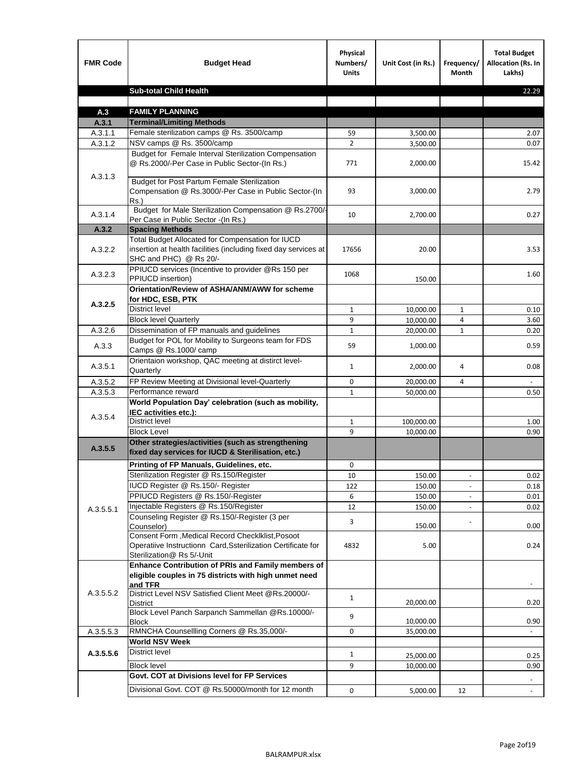| <b>FMR Code</b> | <b>Budget Head</b>                                                                                                                             | Physical<br>Numbers/<br><b>Units</b> | Unit Cost (in Rs.) | Frequency/<br><b>Month</b> | <b>Total Budget</b><br>Allocation (Rs. In<br>Lakhs) |
|-----------------|------------------------------------------------------------------------------------------------------------------------------------------------|--------------------------------------|--------------------|----------------------------|-----------------------------------------------------|
|                 | <b>Sub-total Child Health</b>                                                                                                                  |                                      |                    |                            | 22.29                                               |
|                 |                                                                                                                                                |                                      |                    |                            |                                                     |
| A.3             | <b>FAMILY PLANNING</b>                                                                                                                         |                                      |                    |                            |                                                     |
| A.3.1           | <b>Terminal/Limiting Methods</b>                                                                                                               |                                      |                    |                            |                                                     |
| A.3.1.1         | Female sterilization camps @ Rs. 3500/camp                                                                                                     | 59                                   | 3,500.00           |                            | 2.07                                                |
| A.3.1.2         | NSV camps @ Rs. 3500/camp<br>Budget for Female Interval Sterilization Compensation                                                             | $\overline{2}$                       | 3,500.00           |                            | 0.07                                                |
| A.3.1.3         | @ Rs.2000/-Per Case in Public Sector-(In Rs.)                                                                                                  | 771                                  | 2,000.00           |                            | 15.42                                               |
|                 | <b>Budget for Post Partum Female Sterilization</b><br>Compensation @ Rs.3000/-Per Case in Public Sector-(In<br>$Rs.$ )                         | 93                                   | 3,000.00           |                            | 2.79                                                |
| A.3.1.4         | Budget for Male Sterilization Compensation @ Rs.2700/-<br>Per Case in Public Sector -(In Rs.)                                                  | 10                                   | 2,700.00           |                            | 0.27                                                |
| A.3.2           | <b>Spacing Methods</b>                                                                                                                         |                                      |                    |                            |                                                     |
| A.3.2.2         | Total Budget Allocated for Compensation for IUCD<br>insertion at health facilities (including fixed day services at<br>SHC and PHC) @ Rs 20/-  | 17656                                | 20.00              |                            | 3.53                                                |
| A.3.2.3         | PPIUCD services (Incentive to provider @Rs 150 per<br>PPIUCD insertion)                                                                        | 1068                                 | 150.00             |                            | 1.60                                                |
|                 | Orientation/Review of ASHA/ANM/AWW for scheme<br>for HDC, ESB, PTK                                                                             |                                      |                    |                            |                                                     |
| A.3.2.5         | <b>District level</b>                                                                                                                          | $\mathbf{1}$                         | 10,000.00          | $\mathbf{1}$               | 0.10                                                |
|                 | <b>Block level Quarterly</b>                                                                                                                   | 9                                    | 10,000.00          | 4                          | 3.60                                                |
| A.3.2.6         | Dissemination of FP manuals and guidelines                                                                                                     | $\mathbf{1}$                         | 20,000.00          | $\mathbf{1}$               | 0.20                                                |
| A.3.3           | Budget for POL for Mobility to Surgeons team for FDS<br>Camps @ Rs.1000/ camp                                                                  | 59                                   | 1,000.00           |                            | 0.59                                                |
| A.3.5.1         | Orientaion workshop, QAC meeting at distirct level-<br>Quarterly                                                                               | $\mathbf{1}$                         | 2,000.00           | 4                          | 0.08                                                |
| A.3.5.2         | FP Review Meeting at Divisional level-Quarterly                                                                                                | 0                                    | 20,000.00          | 4                          |                                                     |
| A.3.5.3         | Performance reward                                                                                                                             | $\mathbf{1}$                         | 50,000.00          |                            | 0.50                                                |
| A.3.5.4         | World Population Day' celebration (such as mobility,<br>IEC activities etc.):                                                                  |                                      |                    |                            |                                                     |
|                 | District level                                                                                                                                 | $\mathbf{1}$                         | 100,000.00         |                            | 1.00                                                |
|                 | <b>Block Level</b>                                                                                                                             | 9                                    | 10.000.00          |                            | 0.90                                                |
| A.3.5.5         | Other strategies/activities (such as strengthening<br>fixed day services for IUCD & Sterilisation, etc.)                                       |                                      |                    |                            |                                                     |
|                 | Printing of FP Manuals, Guidelines, etc.                                                                                                       | 0                                    |                    |                            |                                                     |
|                 | Sterilization Register @ Rs.150/Register                                                                                                       | 10                                   | 150.00             | $\centerdot$               | 0.02                                                |
|                 | IUCD Register @ Rs.150/- Register                                                                                                              | 122                                  | 150.00             |                            | 0.18                                                |
|                 | PPIUCD Registers @ Rs.150/-Register                                                                                                            | 6                                    | 150.00             |                            | 0.01                                                |
| A.3.5.5.1       | Injectable Registers @ Rs.150/Register                                                                                                         | 12                                   | 150.00             |                            | 0.02                                                |
|                 | Counseling Register @ Rs.150/-Register (3 per<br>Counselor)                                                                                    | 3                                    | 150.00             |                            | 0.00                                                |
|                 | Consent Form , Medical Record CheckIklist, Posoot<br>Operatiive Instructionn Card, Ssterilization Certificate for<br>Sterilization@ Rs 5/-Unit | 4832                                 | 5.00               |                            | 0.24                                                |
|                 | Enhance Contribution of PRIs and Family members of<br>eligible couples in 75 districts with high unmet need<br>and TFR                         |                                      |                    |                            |                                                     |
| A.3.5.5.2       | District Level NSV Satisfied Client Meet @Rs.20000/-<br>District                                                                               | $\mathbf{1}$                         | 20,000.00          |                            | 0.20                                                |
|                 | Block Level Panch Sarpanch Sammellan @Rs.10000/-<br><b>Block</b>                                                                               | 9                                    | 10,000.00          |                            | 0.90                                                |
| A.3.5.5.3       | RMNCHA Counsellling Corners @ Rs.35,000/-                                                                                                      | 0                                    | 35,000.00          |                            |                                                     |
|                 | <b>World NSV Week</b>                                                                                                                          |                                      |                    |                            |                                                     |
| A.3.5.5.6       | <b>District level</b>                                                                                                                          | $\mathbf{1}$                         | 25,000.00          |                            | 0.25                                                |
|                 | <b>Block level</b>                                                                                                                             | 9                                    | 10,000.00          |                            | 0.90                                                |
|                 | Govt. COT at Divisions level for FP Services                                                                                                   |                                      |                    |                            |                                                     |
|                 | Divisional Govt. COT @ Rs.50000/month for 12 month                                                                                             | 0                                    | 5,000.00           | 12                         | $\omega$                                            |
|                 |                                                                                                                                                |                                      |                    |                            |                                                     |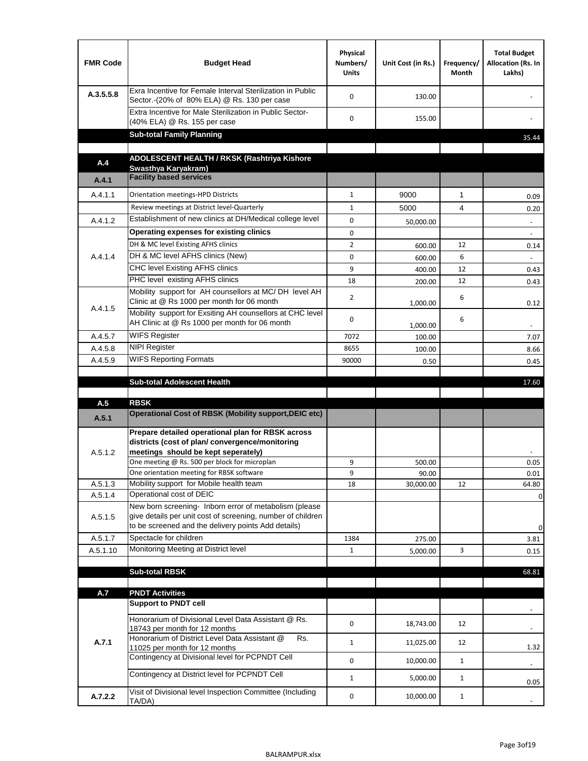| <b>FMR Code</b> | <b>Budget Head</b>                                                                                                                                                           | Physical<br>Numbers/<br><b>Units</b> | Unit Cost (in Rs.) | Frequency/<br>Month | <b>Total Budget</b><br>Allocation (Rs. In<br>Lakhs) |
|-----------------|------------------------------------------------------------------------------------------------------------------------------------------------------------------------------|--------------------------------------|--------------------|---------------------|-----------------------------------------------------|
| A.3.5.5.8       | Exra Incentive for Female Interval Sterilization in Public<br>Sector.-(20% of 80% ELA) @ Rs. 130 per case                                                                    | $\Omega$                             | 130.00             |                     |                                                     |
|                 | Extra Incentive for Male Sterilization in Public Sector-<br>(40% ELA) @ Rs. 155 per case                                                                                     | $\Omega$                             | 155.00             |                     |                                                     |
|                 | <b>Sub-total Family Planning</b>                                                                                                                                             |                                      |                    |                     | 35.44                                               |
|                 | ADOLESCENT HEALTH / RKSK (Rashtriya Kishore                                                                                                                                  |                                      |                    |                     |                                                     |
| A.4             | Swasthya Karyakram)                                                                                                                                                          |                                      |                    |                     |                                                     |
| A.4.1           | <b>Facility based services</b>                                                                                                                                               |                                      |                    |                     |                                                     |
| A.4.1.1         | Orientation meetings-HPD Districts                                                                                                                                           | $\mathbf{1}$                         | 9000               | $\mathbf{1}$        | 0.09                                                |
|                 | Review meetings at District level-Quarterly                                                                                                                                  | $\mathbf{1}$                         | 5000               | 4                   | 0.20                                                |
| A.4.1.2         | Establishment of new clinics at DH/Medical college level                                                                                                                     | 0                                    | 50,000.00          |                     | $\overline{\phantom{a}}$                            |
|                 | Operating expenses for existing clinics                                                                                                                                      | 0                                    |                    |                     |                                                     |
|                 | DH & MC level Existing AFHS clinics                                                                                                                                          | $\overline{2}$                       | 600.00             | 12                  | 0.14                                                |
| A.4.1.4         | DH & MC level AFHS clinics (New)                                                                                                                                             | 0                                    | 600.00             | 6                   |                                                     |
|                 | <b>CHC level Existing AFHS clinics</b>                                                                                                                                       | 9                                    | 400.00             | 12                  | 0.43                                                |
|                 | PHC level existing AFHS clinics<br>Mobility support for AH counsellors at MC/DH level AH                                                                                     | 18                                   | 200.00             | 12                  | 0.43                                                |
| A.4.1.5         | Clinic at @ Rs 1000 per month for 06 month                                                                                                                                   | $\overline{2}$                       | 1,000.00           | 6                   | 0.12                                                |
|                 | Mobility support for Exsiting AH counsellors at CHC level<br>AH Clinic at @ Rs 1000 per month for 06 month                                                                   | 0                                    | 1,000.00           | 6                   |                                                     |
| A.4.5.7         | <b>WIFS Register</b>                                                                                                                                                         | 7072                                 | 100.00             |                     | 7.07                                                |
| A.4.5.8         | <b>NIPI Register</b>                                                                                                                                                         | 8655                                 | 100.00             |                     | 8.66                                                |
| A.4.5.9         | <b>WIFS Reporting Formats</b>                                                                                                                                                | 90000                                | 0.50               |                     | 0.45                                                |
|                 |                                                                                                                                                                              |                                      |                    |                     |                                                     |
|                 | <b>Sub-total Adolescent Health</b>                                                                                                                                           |                                      |                    |                     | 17.60                                               |
| A.5             | <b>RBSK</b>                                                                                                                                                                  |                                      |                    |                     |                                                     |
| A.5.1           | <b>Operational Cost of RBSK (Mobility support, DEIC etc)</b>                                                                                                                 |                                      |                    |                     |                                                     |
| A.5.1.2         | Prepare detailed operational plan for RBSK across<br>districts (cost of plan/convergence/monitoring<br>meetings should be kept seperately)                                   |                                      |                    |                     |                                                     |
|                 | One meeting @ Rs. 500 per block for microplan                                                                                                                                | 9                                    | 500.00             |                     | 0.05                                                |
|                 | One orientation meeting for RBSK software                                                                                                                                    | 9                                    | 90.00              |                     | 0.01                                                |
| A.5.1.3         | Mobility support for Mobile health team                                                                                                                                      | 18                                   | 30,000.00          | 12                  | 64.80                                               |
| A.5.1.4         | Operational cost of DEIC                                                                                                                                                     |                                      |                    |                     | 0                                                   |
| A.5.1.5         | New born screening- Inborn error of metabolism (please<br>give details per unit cost of screening, number of children<br>to be screened and the delivery points Add details) |                                      |                    |                     | 0                                                   |
| A.5.1.7         | Spectacle for children                                                                                                                                                       | 1384                                 | 275.00             |                     | 3.81                                                |
| A.5.1.10        | Monitoring Meeting at District level                                                                                                                                         | $\mathbf{1}$                         | 5,000.00           | 3                   | 0.15                                                |
|                 |                                                                                                                                                                              |                                      |                    |                     |                                                     |
|                 | <b>Sub-total RBSK</b>                                                                                                                                                        |                                      |                    |                     | 68.81                                               |
| A.7             | <b>PNDT Activities</b>                                                                                                                                                       |                                      |                    |                     |                                                     |
|                 | <b>Support to PNDT cell</b>                                                                                                                                                  |                                      |                    |                     |                                                     |
|                 | Honorarium of Divisional Level Data Assistant @ Rs.<br>18743 per month for 12 months                                                                                         | 0                                    | 18,743.00          | 12                  |                                                     |
| A.7.1           | Honorarium of District Level Data Assistant @<br>Rs.                                                                                                                         | $\mathbf{1}$                         | 11,025.00          | 12                  |                                                     |
|                 | 11025 per month for 12 months<br>Contingency at Divisional level for PCPNDT Cell                                                                                             | 0                                    | 10,000.00          | $\mathbf{1}$        | 1.32                                                |
|                 | Contingency at District level for PCPNDT Cell                                                                                                                                | $\mathbf{1}$                         | 5,000.00           | $\mathbf{1}$        | $\overline{\phantom{a}}$                            |
|                 | Visit of Divisional level Inspection Committee (Including                                                                                                                    |                                      |                    |                     | 0.05                                                |
| A.7.2.2         | TA/DA)                                                                                                                                                                       | 0                                    | 10,000.00          | $\mathbf{1}$        |                                                     |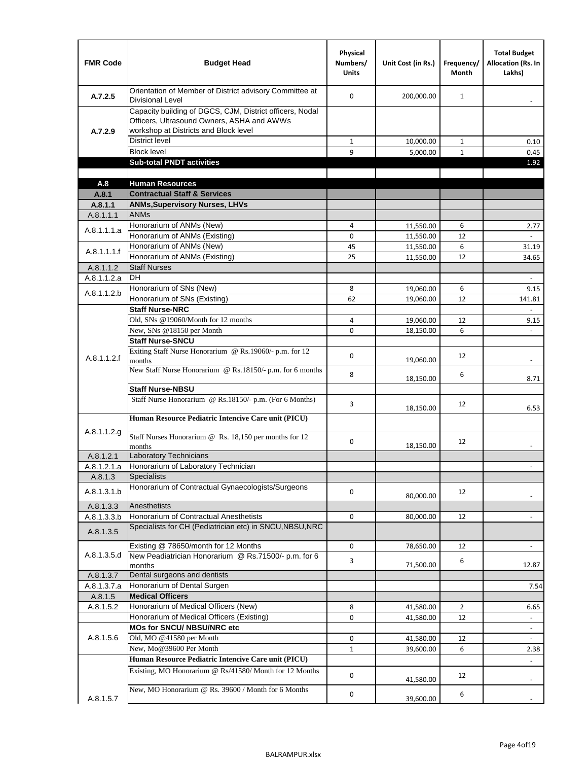| <b>FMR Code</b>      | <b>Budget Head</b>                                                                                                                              | Physical<br>Numbers/<br><b>Units</b> | Unit Cost (in Rs.)     | Frequency/<br><b>Month</b> | <b>Total Budget</b><br><b>Allocation (Rs. In</b><br>Lakhs) |
|----------------------|-------------------------------------------------------------------------------------------------------------------------------------------------|--------------------------------------|------------------------|----------------------------|------------------------------------------------------------|
| A.7.2.5              | Orientation of Member of District advisory Committee at<br><b>Divisional Level</b>                                                              | $\Omega$                             | 200,000.00             | $\mathbf{1}$               | $\blacksquare$                                             |
| A.7.2.9              | Capacity building of DGCS, CJM, District officers, Nodal<br>Officers, Ultrasound Owners, ASHA and AWWs<br>workshop at Districts and Block level |                                      |                        |                            |                                                            |
|                      | <b>District level</b>                                                                                                                           | $\mathbf{1}$                         | 10,000.00              | 1                          | 0.10                                                       |
|                      | <b>Block level</b>                                                                                                                              | 9                                    | 5,000.00               | $\mathbf{1}$               | 0.45                                                       |
|                      | <b>Sub-total PNDT activities</b>                                                                                                                |                                      |                        |                            | 1.92                                                       |
|                      |                                                                                                                                                 |                                      |                        |                            |                                                            |
| A.8                  | <b>Human Resources</b>                                                                                                                          |                                      |                        |                            |                                                            |
| A.8.1                | <b>Contractual Staff &amp; Services</b>                                                                                                         |                                      |                        |                            |                                                            |
| A.8.1.1<br>A.8.1.1.1 | <b>ANMs, Supervisory Nurses, LHVs</b><br><b>ANMs</b>                                                                                            |                                      |                        |                            |                                                            |
|                      | Honorarium of ANMs (New)                                                                                                                        | 4                                    |                        | 6                          |                                                            |
| A.8.1.1.1.a          | Honorarium of ANMs (Existing)                                                                                                                   | 0                                    | 11,550.00<br>11,550.00 | 12                         | 2.77                                                       |
|                      | Honorarium of ANMs (New)                                                                                                                        | 45                                   | 11,550.00              | 6                          | 31.19                                                      |
| A.8.1.1.1.f          | Honorarium of ANMs (Existing)                                                                                                                   | 25                                   | 11,550.00              | 12                         | 34.65                                                      |
| A.8.1.1.2            | <b>Staff Nurses</b>                                                                                                                             |                                      |                        |                            |                                                            |
| A.8.1.1.2.a          | <b>DH</b>                                                                                                                                       |                                      |                        |                            | $\blacksquare$                                             |
|                      | Honorarium of SNs (New)                                                                                                                         | 8                                    | 19,060.00              | 6                          | 9.15                                                       |
| A.8.1.1.2.b          | Honorarium of SNs (Existing)                                                                                                                    | 62                                   | 19.060.00              | 12                         | 141.81                                                     |
|                      | <b>Staff Nurse-NRC</b>                                                                                                                          |                                      |                        |                            | $\overline{\phantom{a}}$                                   |
|                      | Old, SNs @19060/Month for 12 months                                                                                                             | 4                                    | 19,060.00              | 12                         | 9.15                                                       |
|                      | New, SNs @18150 per Month                                                                                                                       | 0                                    | 18,150.00              | 6                          |                                                            |
|                      | <b>Staff Nurse-SNCU</b>                                                                                                                         |                                      |                        |                            |                                                            |
| A.8.1.1.2.f          | Exiting Staff Nurse Honorarium @ Rs.19060/- p.m. for 12<br>months                                                                               | $\Omega$                             | 19,060.00              | 12                         | -                                                          |
|                      | New Staff Nurse Honorarium @ Rs.18150/- p.m. for 6 months                                                                                       | 8                                    | 18,150.00              | 6                          | 8.71                                                       |
|                      | <b>Staff Nurse-NBSU</b>                                                                                                                         |                                      |                        |                            |                                                            |
|                      | Staff Nurse Honorarium @ Rs.18150/- p.m. (For 6 Months)                                                                                         | 3                                    | 18,150.00              | 12                         | 6.53                                                       |
| A.8.1.1.2.g          | Human Resource Pediatric Intencive Care unit (PICU)                                                                                             |                                      |                        |                            |                                                            |
|                      | Staff Nurses Honorarium @ Rs. 18,150 per months for 12<br>months                                                                                | 0                                    | 18,150.00              | 12                         |                                                            |
| A.8.1.2.1            | <b>Laboratory Technicians</b>                                                                                                                   |                                      |                        |                            |                                                            |
| A.8.1.2.1.a          | Honorarium of Laboratory Technician                                                                                                             |                                      |                        |                            |                                                            |
| A.8.1.3              | <b>Specialists</b>                                                                                                                              |                                      |                        |                            |                                                            |
| A.8.1.3.1.b          | Honorarium of Contractual Gynaecologists/Surgeons                                                                                               | $\mathbf 0$                          | 80,000.00              | 12                         |                                                            |
| A.8.1.3.3            | Anesthetists                                                                                                                                    |                                      |                        |                            |                                                            |
| A.8.1.3.3.b          | Honorarium of Contractual Anesthetists                                                                                                          | 0                                    | 80,000.00              | 12                         |                                                            |
| A.8.1.3.5            | Specialists for CH (Pediatrician etc) in SNCU, NBSU, NRC                                                                                        |                                      |                        |                            |                                                            |
|                      | Existing @ 78650/month for 12 Months                                                                                                            | 0                                    | 78,650.00              | 12                         | $\blacksquare$                                             |
| A.8.1.3.5.d          | New Peadiatrician Honorarium @ Rs.71500/- p.m. for 6<br>months                                                                                  | 3                                    | 71,500.00              | 6                          | 12.87                                                      |
| A.8.1.3.7            | Dental surgeons and dentists                                                                                                                    |                                      |                        |                            |                                                            |
| A.8.1.3.7.a          | Honorarium of Dental Surgen                                                                                                                     |                                      |                        |                            | 7.54                                                       |
| A.8.1.5              | <b>Medical Officers</b>                                                                                                                         |                                      |                        |                            |                                                            |
| A.8.1.5.2            | Honorarium of Medical Officers (New)                                                                                                            | 8                                    | 41,580.00              | $\overline{2}$             | 6.65                                                       |
|                      | Honorarium of Medical Officers (Existing)                                                                                                       | 0                                    | 41,580.00              | 12                         |                                                            |
|                      | MOs for SNCU/ NBSU/NRC etc                                                                                                                      |                                      |                        |                            |                                                            |
| A.8.1.5.6            | Old, MO @41580 per Month                                                                                                                        | 0                                    | 41,580.00              | 12                         | $\blacksquare$                                             |
|                      | New, Mo@39600 Per Month                                                                                                                         | $\mathbf{1}$                         | 39,600.00              | 6                          | 2.38                                                       |
|                      | Human Resource Pediatric Intencive Care unit (PICU)                                                                                             |                                      |                        |                            |                                                            |
|                      | Existing, MO Honorarium @ Rs/41580/ Month for 12 Months                                                                                         | $\mathbf 0$                          | 41,580.00              | 12                         |                                                            |
| A.8.1.5.7            | New, MO Honorarium @ Rs. 39600 / Month for 6 Months                                                                                             | 0                                    | 39,600.00              | 6                          |                                                            |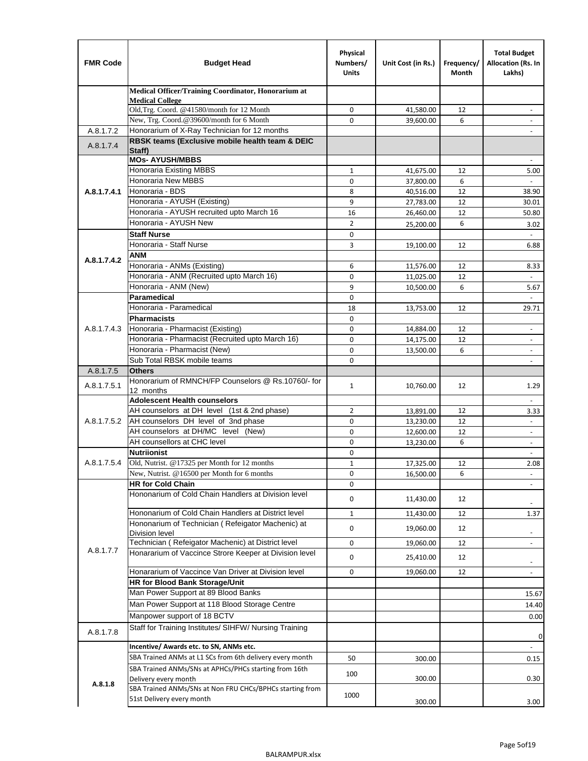| <b>FMR Code</b> | <b>Budget Head</b>                                                            | Physical<br>Numbers/<br><b>Units</b> | Unit Cost (in Rs.) | Frequency/<br>Month | <b>Total Budget</b><br>Allocation (Rs. In<br>Lakhs) |
|-----------------|-------------------------------------------------------------------------------|--------------------------------------|--------------------|---------------------|-----------------------------------------------------|
|                 | Medical Officer/Training Coordinator, Honorarium at                           |                                      |                    |                     |                                                     |
|                 | <b>Medical College</b><br>Old, Trg. Coord. @41580/month for 12 Month          | $\mathbf 0$                          | 41,580.00          | 12                  |                                                     |
|                 | New, Trg. Coord.@39600/month for 6 Month                                      | $\Omega$                             | 39,600.00          | 6                   |                                                     |
| A.8.1.7.2       | Honorarium of X-Ray Technician for 12 months                                  |                                      |                    |                     |                                                     |
| A.8.1.7.4       | RBSK teams (Exclusive mobile health team & DEIC                               |                                      |                    |                     |                                                     |
|                 | Staff)                                                                        |                                      |                    |                     |                                                     |
|                 | <b>MOs- AYUSH/MBBS</b><br><b>Honoraria Existing MBBS</b>                      | $\mathbf{1}$                         | 41,675.00          | 12                  | 5.00                                                |
|                 | Honoraria New MBBS                                                            | 0                                    | 37,800.00          | 6                   | $\overline{\phantom{a}}$                            |
| A.8.1.7.4.1     | Honoraria - BDS                                                               | 8                                    | 40,516.00          | 12                  | 38.90                                               |
|                 | Honoraria - AYUSH (Existing)                                                  | 9                                    | 27,783.00          | 12                  | 30.01                                               |
|                 | Honoraria - AYUSH recruited upto March 16                                     | 16                                   | 26,460.00          | 12                  | 50.80                                               |
|                 | Honoraria - AYUSH New                                                         | $\overline{2}$                       | 25,200.00          | 6                   | 3.02                                                |
|                 | <b>Staff Nurse</b>                                                            | 0                                    |                    |                     |                                                     |
|                 | Honoraria - Staff Nurse                                                       | 3                                    | 19,100.00          | 12                  | 6.88                                                |
| A.8.1.7.4.2     | <b>ANM</b>                                                                    |                                      |                    |                     |                                                     |
|                 | Honoraria - ANMs (Existing)                                                   | 6                                    | 11,576.00          | 12                  | 8.33                                                |
|                 | Honoraria - ANM (Recruited upto March 16)                                     | 0                                    | 11,025.00          | 12                  |                                                     |
|                 | Honoraria - ANM (New)<br>Paramedical                                          | 9                                    | 10,500.00          | 6                   | 5.67<br>$\blacksquare$                              |
|                 | Honoraria - Paramedical                                                       | $\mathbf 0$<br>18                    |                    | 12                  |                                                     |
|                 | <b>Pharmacists</b>                                                            | $\mathbf 0$                          | 13,753.00          |                     | 29.71                                               |
| A.8.1.7.4.3     | Honoraria - Pharmacist (Existing)                                             | $\mathbf 0$                          | 14,884.00          | 12                  | $\overline{\phantom{a}}$                            |
|                 | Honoraria - Pharmacist (Recruited upto March 16)                              | 0                                    | 14,175.00          | 12                  | $\blacksquare$                                      |
|                 | Honoraria - Pharmacist (New)                                                  | $\mathbf 0$                          | 13,500.00          | 6                   | $\overline{\phantom{a}}$                            |
|                 | Sub Total RBSK mobile teams                                                   | $\Omega$                             |                    |                     | $\overline{\phantom{a}}$                            |
| A.8.1.7.5       | <b>Others</b>                                                                 |                                      |                    |                     |                                                     |
| A.8.1.7.5.1     | Honorarium of RMNCH/FP Counselors @ Rs.10760/- for                            | $\mathbf{1}$                         | 10,760.00          | 12                  | 1.29                                                |
|                 | 12 months<br><b>Adolescent Health counselors</b>                              |                                      |                    |                     |                                                     |
|                 | AH counselors at DH level (1st & 2nd phase)                                   | 2                                    | 13,891.00          | 12                  | $\overline{\phantom{a}}$<br>3.33                    |
| A.8.1.7.5.2     | AH counselors DH level of 3nd phase                                           | $\mathbf 0$                          | 13,230.00          | 12                  | $\overline{\phantom{a}}$                            |
|                 | AH counselors at DH/MC level (New)                                            | 0                                    | 12,600.00          | 12                  | $\overline{\phantom{a}}$                            |
|                 | AH counsellors at CHC level                                                   | $\mathbf 0$                          | 13,230.00          | 6                   | ÷,                                                  |
|                 | <b>Nutriionist</b>                                                            | 0                                    |                    |                     | $\overline{\phantom{a}}$                            |
| A.8.1.7.5.4     | Old, Nutrist. @17325 per Month for 12 months                                  | $\mathbf{1}$                         | 17,325.00          | 12                  | 2.08                                                |
|                 | New, Nutrist. $@16500$ per Month for 6 months                                 | 0                                    | 16,500.00          | 6                   | $\overline{\phantom{a}}$                            |
|                 | <b>HR for Cold Chain</b>                                                      | 0                                    |                    |                     |                                                     |
|                 | Hononarium of Cold Chain Handlers at Division level                           | 0                                    | 11,430.00          | 12                  |                                                     |
|                 | Hononarium of Cold Chain Handlers at District level                           | 1                                    | 11,430.00          | 12                  | 1.37                                                |
|                 | Hononarium of Technician (Refeigator Machenic) at                             |                                      |                    |                     |                                                     |
|                 | <b>Division level</b>                                                         | 0                                    | 19,060.00          | 12                  | $\overline{\phantom{a}}$                            |
|                 | Technician (Refeigator Machenic) at District level                            | 0                                    | 19,060.00          | 12                  | $\blacksquare$                                      |
| A.8.1.7.7       | Honararium of Vaccince Strore Keeper at Division level                        | 0                                    | 25,410.00          | 12                  | $\overline{\phantom{a}}$                            |
|                 | Honararium of Vaccince Van Driver at Division level                           | 0                                    | 19,060.00          | 12                  | $\overline{\phantom{a}}$                            |
|                 | HR for Blood Bank Storage/Unit                                                |                                      |                    |                     |                                                     |
|                 | Man Power Support at 89 Blood Banks                                           |                                      |                    |                     | 15.67                                               |
|                 | Man Power Support at 118 Blood Storage Centre                                 |                                      |                    |                     | 14.40                                               |
|                 | Manpower support of 18 BCTV                                                   |                                      |                    |                     | 0.00                                                |
| A.8.1.7.8       | Staff for Training Institutes/ SIHFW/ Nursing Training                        |                                      |                    |                     | 0                                                   |
|                 | Incentive/ Awards etc. to SN, ANMs etc.                                       |                                      |                    |                     | $\blacksquare$                                      |
|                 | SBA Trained ANMs at L1 SCs from 6th delivery every month                      | 50                                   | 300.00             |                     | 0.15                                                |
|                 | SBA Trained ANMs/SNs at APHCs/PHCs starting from 16th<br>Delivery every month | 100                                  | 300.00             |                     | 0.30                                                |
| A.8.1.8         | SBA Trained ANMs/SNs at Non FRU CHCs/BPHCs starting from                      | 1000                                 |                    |                     |                                                     |
|                 | 51st Delivery every month                                                     |                                      | 300.00             |                     | 3.00                                                |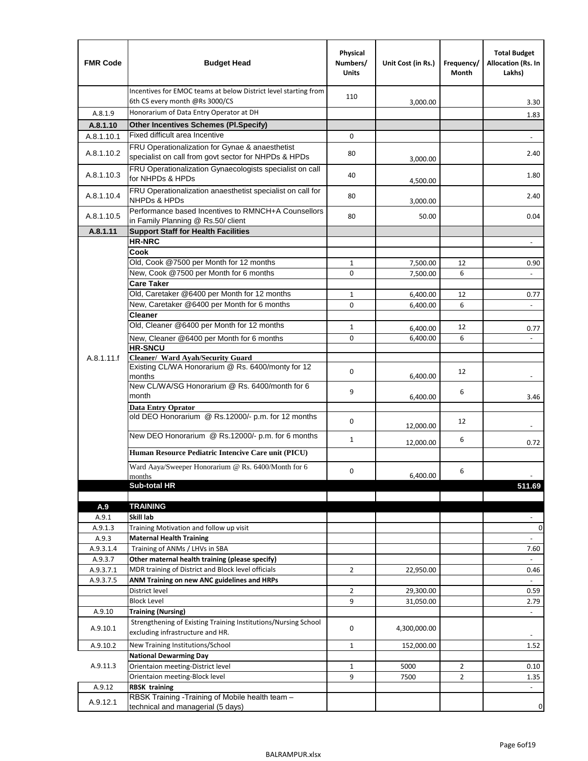| <b>FMR Code</b>  | <b>Budget Head</b>                                                                                      | Physical<br>Numbers/<br><b>Units</b> | Unit Cost (in Rs.) | Frequency/<br>Month | <b>Total Budget</b><br>Allocation (Rs. In<br>Lakhs) |
|------------------|---------------------------------------------------------------------------------------------------------|--------------------------------------|--------------------|---------------------|-----------------------------------------------------|
|                  | Incentives for EMOC teams at below District level starting from<br>6th CS every month @Rs 3000/CS       | 110                                  | 3,000.00           |                     | 3.30                                                |
| A.8.1.9          | Honorarium of Data Entry Operator at DH                                                                 |                                      |                    |                     | 1.83                                                |
| A.8.1.10         | <b>Other Incentives Schemes (PI.Specify)</b>                                                            |                                      |                    |                     |                                                     |
| A.8.1.10.1       | Fixed difficult area Incentive                                                                          | $\mathbf 0$                          |                    |                     |                                                     |
| A.8.1.10.2       | FRU Operationalization for Gynae & anaesthetist<br>specialist on call from govt sector for NHPDs & HPDs | 80                                   | 3,000.00           |                     | 2.40                                                |
| A.8.1.10.3       | FRU Operationalization Gynaecologists specialist on call<br>for NHPDs & HPDs                            | 40                                   | 4,500.00           |                     | 1.80                                                |
| A.8.1.10.4       | FRU Operationalization anaesthetist specialist on call for<br><b>NHPDs &amp; HPDs</b>                   | 80                                   | 3,000.00           |                     | 2.40                                                |
| A.8.1.10.5       | Performance based Incentives to RMNCH+A Counsellors<br>in Family Planning @ Rs.50/ client               | 80                                   | 50.00              |                     | 0.04                                                |
| A.8.1.11         | <b>Support Staff for Health Facilities</b>                                                              |                                      |                    |                     |                                                     |
|                  | <b>HR-NRC</b>                                                                                           |                                      |                    |                     | $\overline{\phantom{m}}$                            |
|                  | Cook                                                                                                    |                                      |                    |                     |                                                     |
|                  | Old, Cook @7500 per Month for 12 months                                                                 | $\mathbf{1}$                         | 7,500.00           | 12                  | 0.90                                                |
|                  | New, Cook @7500 per Month for 6 months                                                                  | 0                                    | 7,500.00           | 6                   | $\Box$                                              |
|                  | <b>Care Taker</b><br>Old, Caretaker @6400 per Month for 12 months                                       | $\mathbf{1}$                         | 6,400.00           | 12                  |                                                     |
|                  | New, Caretaker @6400 per Month for 6 months                                                             | 0                                    | 6,400.00           | 6                   | 0.77<br>÷,                                          |
|                  | <b>Cleaner</b>                                                                                          |                                      |                    |                     |                                                     |
|                  | Old, Cleaner @6400 per Month for 12 months                                                              | $\mathbf{1}$                         | 6,400.00           | 12                  | 0.77                                                |
|                  | New, Cleaner @6400 per Month for 6 months                                                               | $\mathbf 0$                          | 6,400.00           | 6                   |                                                     |
|                  | <b>HR-SNCU</b>                                                                                          |                                      |                    |                     |                                                     |
| A.8.1.11.f       | Cleaner/ Ward Ayah/Security Guard                                                                       |                                      |                    |                     |                                                     |
|                  | Existing CL/WA Honorarium @ Rs. 6400/monty for 12<br>months                                             | $\mathbf 0$                          | 6,400.00           | 12                  |                                                     |
|                  | New CL/WA/SG Honorarium @ Rs. 6400/month for 6<br>month                                                 | 9                                    | 6,400.00           | 6                   | 3.46                                                |
|                  | <b>Data Entry Oprator</b>                                                                               |                                      |                    |                     |                                                     |
|                  | old DEO Honorarium @ Rs.12000/- p.m. for 12 months<br>New DEO Honorarium @ Rs.12000/- p.m. for 6 months | $\mathbf 0$                          | 12,000.00          | 12                  |                                                     |
|                  |                                                                                                         | $\mathbf{1}$                         | 12,000.00          | 6                   | 0.72                                                |
|                  | Human Resource Pediatric Intencive Care unit (PICU)                                                     |                                      |                    |                     |                                                     |
|                  | Ward Aaya/Sweeper Honorarium @ Rs. 6400/Month for 6                                                     |                                      |                    |                     |                                                     |
|                  | months                                                                                                  | 0                                    | 6,400.00           | 6                   |                                                     |
|                  | Sub-total HR                                                                                            |                                      |                    |                     | 511.69                                              |
|                  |                                                                                                         |                                      |                    |                     |                                                     |
| A.9              | <b>TRAINING</b>                                                                                         |                                      |                    |                     |                                                     |
| A.9.1<br>A.9.1.3 | Skill lab<br>Training Motivation and follow up visit                                                    |                                      |                    |                     | 0                                                   |
| A.9.3            | <b>Maternal Health Training</b>                                                                         |                                      |                    |                     |                                                     |
| A.9.3.1.4        | Training of ANMs / LHVs in SBA                                                                          |                                      |                    |                     | 7.60                                                |
| A.9.3.7          | Other maternal health training (please specify)                                                         |                                      |                    |                     |                                                     |
| A.9.3.7.1        | MDR training of District and Block level officials                                                      | $\overline{2}$                       | 22,950.00          |                     | 0.46                                                |
| A.9.3.7.5        | ANM Training on new ANC guidelines and HRPs                                                             |                                      |                    |                     |                                                     |
|                  | District level                                                                                          | $\overline{2}$                       | 29,300.00          |                     | 0.59                                                |
|                  | <b>Block Level</b>                                                                                      | 9                                    | 31,050.00          |                     | 2.79                                                |
| A.9.10           | <b>Training (Nursing)</b>                                                                               |                                      |                    |                     | $\blacksquare$                                      |
| A.9.10.1         | Strengthening of Existing Training Institutions/Nursing School<br>excluding infrastructure and HR.      | 0                                    | 4,300,000.00       |                     |                                                     |
| A.9.10.2         | New Training Institutions/School                                                                        | $\mathbf{1}$                         | 152,000.00         |                     | 1.52                                                |
|                  | <b>National Dewarming Day</b>                                                                           |                                      |                    |                     |                                                     |
| A.9.11.3         | Orientaion meeting-District level                                                                       | $\mathbf 1$                          | 5000               | $\overline{2}$      | 0.10                                                |
|                  | Orientaion meeting-Block level                                                                          | 9                                    | 7500               | $\overline{2}$      | 1.35                                                |
| A.9.12           | <b>RBSK training</b>                                                                                    |                                      |                    |                     |                                                     |
| A.9.12.1         | RBSK Training -Training of Mobile health team -<br>technical and managerial (5 days)                    |                                      |                    |                     | 0                                                   |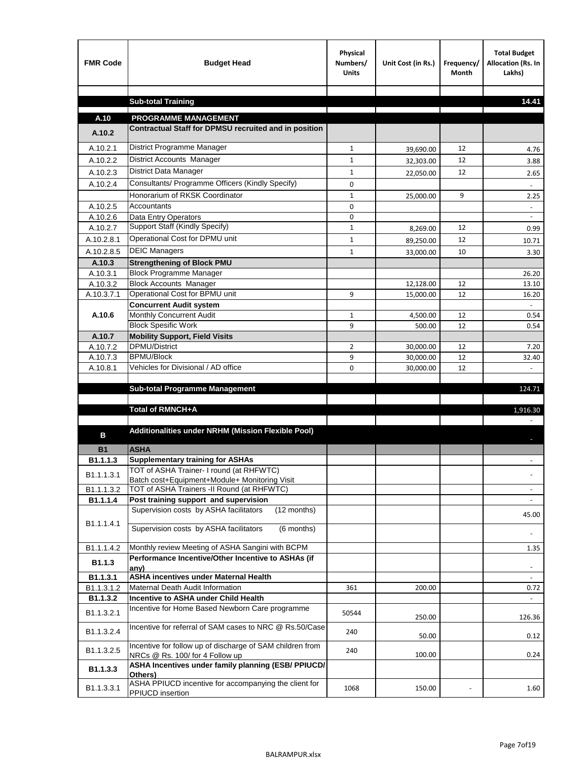| <b>FMR Code</b>         | <b>Budget Head</b>                                                                           | Physical<br>Numbers/<br><b>Units</b> | Unit Cost (in Rs.) | Frequency/<br><b>Month</b> | <b>Total Budget</b><br>Allocation (Rs. In<br>Lakhs) |
|-------------------------|----------------------------------------------------------------------------------------------|--------------------------------------|--------------------|----------------------------|-----------------------------------------------------|
|                         |                                                                                              |                                      |                    |                            |                                                     |
|                         | <b>Sub-total Training</b>                                                                    |                                      |                    |                            | 14.41                                               |
| A.10                    | <b>PROGRAMME MANAGEMENT</b>                                                                  |                                      |                    |                            |                                                     |
| A.10.2                  | Contractual Staff for DPMSU recruited and in position                                        |                                      |                    |                            |                                                     |
| A.10.2.1                | District Programme Manager                                                                   | $\mathbf{1}$                         | 39,690.00          | 12                         | 4.76                                                |
| A.10.2.2                | District Accounts Manager                                                                    | 1                                    | 32,303.00          | 12                         | 3.88                                                |
| A.10.2.3                | District Data Manager                                                                        | $\mathbf{1}$                         |                    | 12                         |                                                     |
| A.10.2.4                | Consultants/ Programme Officers (Kindly Specify)                                             | $\mathbf 0$                          | 22,050.00          |                            | 2.65                                                |
|                         | Honorarium of RKSK Coordinator                                                               | $\mathbf{1}$                         | 25,000.00          | 9                          | 2.25                                                |
| A.10.2.5                | Accountants                                                                                  | 0                                    |                    |                            |                                                     |
| A.10.2.6                | Data Entry Operators                                                                         | 0                                    |                    |                            | $\overline{\phantom{a}}$                            |
| A.10.2.7                | Support Staff (Kindly Specify)                                                               | $\mathbf{1}$                         | 8,269.00           | 12                         | 0.99                                                |
| A.10.2.8.1              | Operational Cost for DPMU unit                                                               | $\mathbf{1}$                         | 89,250.00          | 12                         | 10.71                                               |
| A.10.2.8.5              | <b>DEIC Managers</b>                                                                         | $\mathbf{1}$                         | 33,000.00          | 10                         | 3.30                                                |
| A.10.3                  | <b>Strengthening of Block PMU</b>                                                            |                                      |                    |                            |                                                     |
| A.10.3.1                | <b>Block Programme Manager</b>                                                               |                                      |                    |                            | 26.20                                               |
| A.10.3.2                | <b>Block Accounts Manager</b>                                                                |                                      | 12,128.00          | 12                         | 13.10                                               |
| A.10.3.7.1              | Operational Cost for BPMU unit                                                               | 9                                    | 15,000.00          | 12                         | 16.20                                               |
| A.10.6                  | <b>Concurrent Audit system</b><br>Monthly Concurrent Audit                                   | $\mathbf{1}$                         |                    | 12                         | 0.54                                                |
|                         | <b>Block Spesific Work</b>                                                                   | 9                                    | 4,500.00<br>500.00 | 12                         | 0.54                                                |
| A.10.7                  | <b>Mobility Support, Field Visits</b>                                                        |                                      |                    |                            |                                                     |
| A.10.7.2                | DPMU/District                                                                                | 2                                    | 30,000.00          | 12                         | 7.20                                                |
| A.10.7.3                | <b>BPMU/Block</b>                                                                            | 9                                    | 30,000.00          | 12                         | 32.40                                               |
| A.10.8.1                | Vehicles for Divisional / AD office                                                          | 0                                    | 30,000.00          | 12                         |                                                     |
|                         |                                                                                              |                                      |                    |                            |                                                     |
|                         | <b>Sub-total Programme Management</b>                                                        |                                      |                    |                            | 124.71                                              |
|                         | Total of RMNCH+A                                                                             |                                      |                    |                            | 1,916.30                                            |
|                         |                                                                                              |                                      |                    |                            |                                                     |
| в                       | Additionalities under NRHM (Mission Flexible Pool)                                           |                                      |                    |                            |                                                     |
|                         |                                                                                              |                                      |                    |                            |                                                     |
| <b>B1</b>               | <b>ASHA</b>                                                                                  |                                      |                    |                            |                                                     |
| B1.1.1.3                | <b>Supplementary training for ASHAs</b><br>TOT of ASHA Trainer- I round (at RHFWTC)          |                                      |                    |                            |                                                     |
| B <sub>1.1</sub> .1.3.1 | Batch cost+Equipment+Module+ Monitoring Visit                                                |                                      |                    |                            |                                                     |
| B1.1.1.3.2              | TOT of ASHA Trainers -II Round (at RHFWTC)                                                   |                                      |                    |                            |                                                     |
| B1.1.1.4                | Post training support and supervision                                                        |                                      |                    |                            | $\sim$                                              |
|                         | Supervision costs by ASHA facilitators<br>(12 months)                                        |                                      |                    |                            | 45.00                                               |
| B1.1.1.4.1              | Supervision costs by ASHA facilitators<br>(6 months)                                         |                                      |                    |                            |                                                     |
|                         |                                                                                              |                                      |                    |                            |                                                     |
| B1.1.1.4.2              | Monthly review Meeting of ASHA Sangini with BCPM                                             |                                      |                    |                            | 1.35                                                |
| B <sub>1.1.3</sub>      | Performance Incentive/Other Incentive to ASHAs (if                                           |                                      |                    |                            |                                                     |
| B1.1.3.1                | any)<br><b>ASHA incentives under Maternal Health</b>                                         |                                      |                    |                            |                                                     |
| B1.1.3.1.2              | Maternal Death Audit Information                                                             | 361                                  | 200.00             |                            | 0.72                                                |
| B1.1.3.2                | Incentive to ASHA under Child Health                                                         |                                      |                    |                            | ÷.                                                  |
| B1.1.3.2.1              | Incentive for Home Based Newborn Care programme                                              | 50544                                | 250.00             |                            | 126.36                                              |
| B1.1.3.2.4              | Incentive for referral of SAM cases to NRC @ Rs.50/Case                                      | 240                                  | 50.00              |                            | 0.12                                                |
| B1.1.3.2.5              | Incentive for follow up of discharge of SAM children from<br>NRCs @ Rs. 100/ for 4 Follow up | 240                                  | 100.00             |                            | 0.24                                                |
| B1.1.3.3                | ASHA Incentives under family planning (ESB/ PPIUCD/<br>Others)                               |                                      |                    |                            |                                                     |
| B1.1.3.3.1              | ASHA PPIUCD incentive for accompanying the client for<br>PPIUCD insertion                    | 1068                                 | 150.00             |                            | 1.60                                                |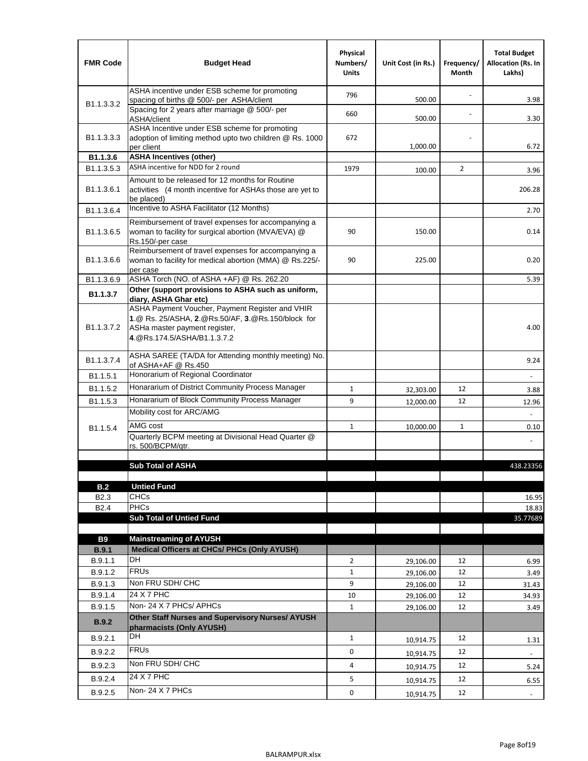| <b>FMR Code</b>         | <b>Budget Head</b>                                                                                                                                                   | Physical<br>Numbers/<br><b>Units</b> | Unit Cost (in Rs.) | Frequency/<br><b>Month</b> | <b>Total Budget</b><br>Allocation (Rs. In<br>Lakhs) |
|-------------------------|----------------------------------------------------------------------------------------------------------------------------------------------------------------------|--------------------------------------|--------------------|----------------------------|-----------------------------------------------------|
|                         | ASHA incentive under ESB scheme for promoting<br>spacing of births @ 500/- per ASHA/client                                                                           | 796                                  | 500.00             |                            | 3.98                                                |
| B <sub>1.1</sub> .3.3.2 | Spacing for 2 years after marriage @ 500/- per<br>ASHA/client                                                                                                        | 660                                  | 500.00             |                            | 3.30                                                |
| B1.1.3.3.3              | ASHA Incentive under ESB scheme for promoting<br>adoption of limiting method upto two children @ Rs. 1000<br>per client                                              | 672                                  | 1,000.00           |                            | 6.72                                                |
| B <sub>1.1</sub> .3.6   | <b>ASHA Incentives (other)</b>                                                                                                                                       |                                      |                    |                            |                                                     |
| B <sub>1.1</sub> .3.5.3 | ASHA incentive for NDD for 2 round                                                                                                                                   | 1979                                 | 100.00             | $\overline{2}$             | 3.96                                                |
| B <sub>1.1</sub> .3.6.1 | Amount to be released for 12 months for Routine<br>activities (4 month incentive for ASHAs those are yet to<br>be placed)                                            |                                      |                    |                            | 206.28                                              |
| B1.1.3.6.4              | Incentive to ASHA Facilitator (12 Months)                                                                                                                            |                                      |                    |                            | 2.70                                                |
| B <sub>1.1</sub> .3.6.5 | Reimbursement of travel expenses for accompanying a<br>woman to facility for surgical abortion (MVA/EVA) @<br>Rs.150/-per case                                       | 90                                   | 150.00             |                            | 0.14                                                |
| B <sub>1.1</sub> .3.6.6 | Reimbursement of travel expenses for accompanying a<br>woman to facility for medical abortion (MMA) @ Rs.225/-<br>per case                                           | 90                                   | 225.00             |                            | 0.20                                                |
| B1.1.3.6.9              | ASHA Torch (NO. of ASHA +AF) @ Rs. 262.20                                                                                                                            |                                      |                    |                            | 5.39                                                |
| B1.1.3.7                | Other (support provisions to ASHA such as uniform,<br>diary, ASHA Ghar etc)                                                                                          |                                      |                    |                            |                                                     |
| B <sub>1.1</sub> .3.7.2 | ASHA Payment Voucher, Payment Register and VHIR<br>1.@ Rs. 25/ASHA, 2.@Rs.50/AF, 3.@Rs.150/block for<br>ASHa master payment register,<br>4.@Rs.174.5/ASHA/B1.1.3.7.2 |                                      |                    |                            | 4.00                                                |
| B <sub>1.1</sub> .3.7.4 | ASHA SAREE (TA/DA for Attending monthly meeting) No.<br>of ASHA+AF @ Rs.450                                                                                          |                                      |                    |                            | 9.24                                                |
| B <sub>1.1</sub> .5.1   | Honorarium of Regional Coordinator                                                                                                                                   |                                      |                    |                            |                                                     |
| B1.1.5.2                | Honararium of District Community Process Manager                                                                                                                     | $\mathbf{1}$                         | 32,303.00          | 12                         | 3.88                                                |
| B1.1.5.3                | Honararium of Block Community Process Manager                                                                                                                        | 9                                    | 12,000.00          | 12                         | 12.96                                               |
|                         | Mobility cost for ARC/AMG                                                                                                                                            |                                      |                    |                            |                                                     |
| B <sub>1.1.5.4</sub>    | AMG cost                                                                                                                                                             | $\mathbf{1}$                         | 10,000.00          | $\mathbf{1}$               | 0.10                                                |
|                         | Quarterly BCPM meeting at Divisional Head Quarter @<br>rs. 500/BCPM/qtr.                                                                                             |                                      |                    |                            |                                                     |
|                         | <b>Sub Total of ASHA</b>                                                                                                                                             |                                      |                    |                            | 438.23356                                           |
|                         |                                                                                                                                                                      |                                      |                    |                            |                                                     |
| B.2                     | <b>Untied Fund</b>                                                                                                                                                   |                                      |                    |                            |                                                     |
| B <sub>2.3</sub>        | <b>CHCs</b>                                                                                                                                                          |                                      |                    |                            | 16.95                                               |
| B <sub>2.4</sub>        | <b>PHCs</b><br><b>Sub Total of Untied Fund</b>                                                                                                                       |                                      |                    |                            | 18.83                                               |
|                         |                                                                                                                                                                      |                                      |                    |                            | 35.77689                                            |
| <b>B9</b>               | <b>Mainstreaming of AYUSH</b>                                                                                                                                        |                                      |                    |                            |                                                     |
| <b>B.9.1</b>            | Medical Officers at CHCs/ PHCs (Only AYUSH)                                                                                                                          |                                      |                    |                            |                                                     |
| B.9.1.1                 | DH                                                                                                                                                                   | $\overline{2}$                       | 29,106.00          | 12                         | 6.99                                                |
| B.9.1.2                 | <b>FRUs</b>                                                                                                                                                          | $\mathbf{1}$                         | 29,106.00          | 12                         | 3.49                                                |
| B.9.1.3                 | Non FRU SDH/ CHC                                                                                                                                                     | 9                                    | 29,106.00          | 12                         | 31.43                                               |
| B.9.1.4                 | 24 X 7 PHC<br>Non-24 X 7 PHCs/ APHCs                                                                                                                                 | 10                                   | 29,106.00          | 12                         | 34.93                                               |
| B.9.1.5<br><b>B.9.2</b> | Other Staff Nurses and Supervisory Nurses/ AYUSH                                                                                                                     | $\mathbf{1}$                         | 29,106.00          | 12                         | 3.49                                                |
|                         | pharmacists (Only AYUSH)<br>DH                                                                                                                                       |                                      |                    |                            |                                                     |
| B.9.2.1                 | <b>FRUs</b>                                                                                                                                                          | $\mathbf{1}$                         | 10,914.75          | 12                         | 1.31                                                |
| B.9.2.2                 |                                                                                                                                                                      | 0                                    | 10,914.75          | 12                         |                                                     |
| B.9.2.3                 | Non FRU SDH/ CHC                                                                                                                                                     | 4                                    | 10,914.75          | 12                         | 5.24                                                |
| B.9.2.4                 | 24 X 7 PHC                                                                                                                                                           | 5                                    | 10,914.75          | 12                         | 6.55                                                |
| B.9.2.5                 | Non-24 X 7 PHCs                                                                                                                                                      | 0                                    | 10,914.75          | 12                         | $\overline{\phantom{a}}$                            |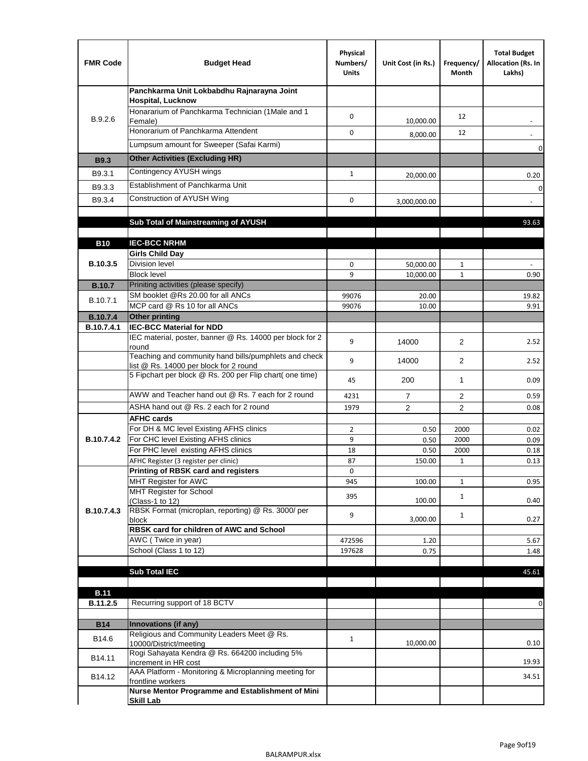| <b>FMR Code</b>   | <b>Budget Head</b>                                                                              | Physical<br>Numbers/<br><b>Units</b> | Unit Cost (in Rs.) | Frequency/<br>Month | <b>Total Budget</b><br>Allocation (Rs. In<br>Lakhs) |
|-------------------|-------------------------------------------------------------------------------------------------|--------------------------------------|--------------------|---------------------|-----------------------------------------------------|
|                   | Panchkarma Unit Lokbabdhu Rajnarayna Joint<br><b>Hospital, Lucknow</b>                          |                                      |                    |                     |                                                     |
| B.9.2.6           | Honararium of Panchkarma Technician (1Male and 1<br>Female)                                     | 0                                    | 10,000.00          | 12                  |                                                     |
|                   | Honorarium of Panchkarma Attendent                                                              | $\mathbf 0$                          | 8,000.00           | 12                  |                                                     |
|                   | Lumpsum amount for Sweeper (Safai Karmi)                                                        |                                      |                    |                     | 0                                                   |
| <b>B9.3</b>       | <b>Other Activities (Excluding HR)</b>                                                          |                                      |                    |                     |                                                     |
| B9.3.1            | Contingency AYUSH wings                                                                         | $\mathbf{1}$                         | 20,000.00          |                     | 0.20                                                |
| B9.3.3            | Establishment of Panchkarma Unit                                                                |                                      |                    |                     | $\mathbf 0$                                         |
| B9.3.4            | Construction of AYUSH Wing                                                                      | 0                                    | 3,000,000.00       |                     |                                                     |
|                   |                                                                                                 |                                      |                    |                     |                                                     |
|                   | Sub Total of Mainstreaming of AYUSH                                                             |                                      |                    |                     | 93.63                                               |
| <b>B10</b>        | <b>IEC-BCC NRHM</b>                                                                             |                                      |                    |                     |                                                     |
|                   | <b>Girls Child Day</b>                                                                          |                                      |                    |                     |                                                     |
| B.10.3.5          | <b>Division level</b>                                                                           | 0                                    | 50,000.00          | 1                   |                                                     |
|                   | <b>Block level</b>                                                                              | 9                                    | 10,000.00          | $\mathbf{1}$        | 0.90                                                |
| <b>B.10.7</b>     | Priniting activities (please specify)<br>SM booklet @Rs 20.00 for all ANCs                      |                                      |                    |                     |                                                     |
| B.10.7.1          | MCP card @ Rs 10 for all ANCs                                                                   | 99076<br>99076                       | 20.00<br>10.00     |                     | 19.82<br>9.91                                       |
| <b>B.10.7.4</b>   | <b>Other printing</b>                                                                           |                                      |                    |                     |                                                     |
| B.10.7.4.1        | <b>IEC-BCC Material for NDD</b>                                                                 |                                      |                    |                     |                                                     |
|                   | IEC material, poster, banner @ Rs. 14000 per block for 2<br>round                               | 9                                    | 14000              | $\overline{2}$      | 2.52                                                |
|                   | Teaching and community hand bills/pumphlets and check<br>list @ Rs. 14000 per block for 2 round | 9                                    | 14000              | $\overline{2}$      | 2.52                                                |
|                   | 5 Fipchart per block @ Rs. 200 per Flip chart( one time)                                        | 45                                   | 200                | 1                   | 0.09                                                |
|                   | AWW and Teacher hand out @ Rs. 7 each for 2 round                                               | 4231                                 | $\overline{7}$     | 2                   | 0.59                                                |
|                   | ASHA hand out @ Rs. 2 each for 2 round                                                          | 1979                                 | $\overline{2}$     | 2                   | 0.08                                                |
|                   | <b>AFHC cards</b><br>For DH & MC level Existing AFHS clinics                                    |                                      |                    |                     |                                                     |
| <b>B.10.7.4.2</b> | For CHC level Existing AFHS clinics                                                             | $\overline{2}$<br>9                  | 0.50<br>0.50       | 2000<br>2000        | 0.02<br>0.09                                        |
|                   | For PHC level existing AFHS clinics                                                             | 18                                   | 0.50               | 2000                | 0.18                                                |
|                   | AFHC Register (3 register per clinic)                                                           | 87                                   | 150.00             | $\mathbf{1}$        | 0.13                                                |
|                   | Printing of RBSK card and registers                                                             | 0                                    |                    |                     |                                                     |
|                   | MHT Register for AWC<br>MHT Register for School                                                 | 945                                  | 100.00             | $\mathbf{1}$        | 0.95                                                |
|                   | (Class-1 to 12)                                                                                 | 395                                  | 100.00             | $\mathbf{1}$        | 0.40                                                |
| B.10.7.4.3        | RBSK Format (microplan, reporting) @ Rs. 3000/ per                                              | 9                                    |                    | $\mathbf{1}$        |                                                     |
|                   | block<br>RBSK card for children of AWC and School                                               |                                      | 3,000.00           |                     | 0.27                                                |
|                   | AWC (Twice in year)                                                                             | 472596                               | 1.20               |                     | 5.67                                                |
|                   | School (Class 1 to 12)                                                                          | 197628                               | 0.75               |                     | 1.48                                                |
|                   |                                                                                                 |                                      |                    |                     |                                                     |
|                   | <b>Sub Total IEC</b>                                                                            |                                      |                    |                     | 45.61                                               |
| <b>B.11</b>       |                                                                                                 |                                      |                    |                     |                                                     |
| B.11.2.5          | Recurring support of 18 BCTV                                                                    |                                      |                    |                     | 0                                                   |
|                   |                                                                                                 |                                      |                    |                     |                                                     |
| <b>B14</b>        | Innovations (if any)<br>Religious and Community Leaders Meet @ Rs.                              |                                      |                    |                     |                                                     |
| B14.6             | 10000/District/meeting                                                                          | $\mathbf{1}$                         | 10,000.00          |                     | 0.10                                                |
| B14.11            | Rogi Sahayata Kendra @ Rs. 664200 including 5%<br>increment in HR cost                          |                                      |                    |                     | 19.93                                               |
| B14.12            | AAA Platform - Monitoring & Microplanning meeting for<br>frontline workers                      |                                      |                    |                     | 34.51                                               |
|                   | Nurse Mentor Programme and Establishment of Mini                                                |                                      |                    |                     |                                                     |
|                   | <b>Skill Lab</b>                                                                                |                                      |                    |                     |                                                     |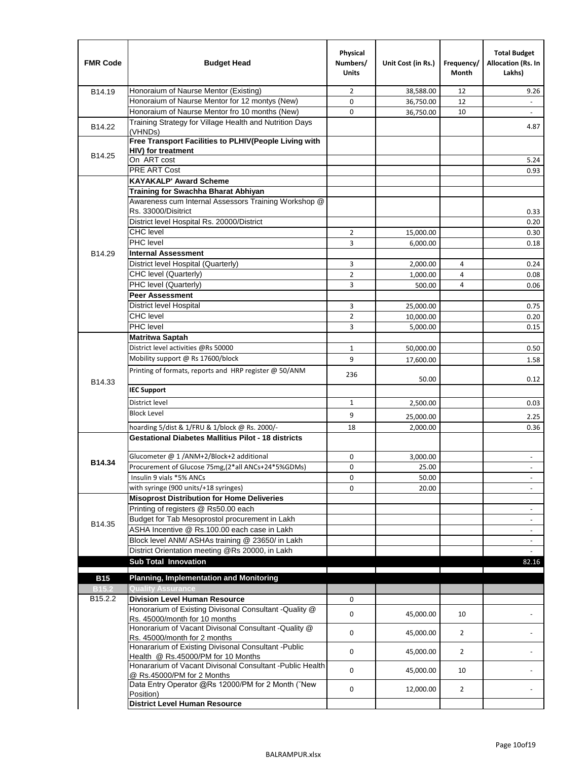| <b>FMR Code</b>     | <b>Budget Head</b>                                                                      | Physical<br>Numbers/<br><b>Units</b> | Unit Cost (in Rs.) | Frequency/<br>Month | <b>Total Budget</b><br>Allocation (Rs. In<br>Lakhs) |
|---------------------|-----------------------------------------------------------------------------------------|--------------------------------------|--------------------|---------------------|-----------------------------------------------------|
| B14.19              | Honoraium of Naurse Mentor (Existing)                                                   | $\overline{2}$                       | 38,588.00          | 12                  | 9.26                                                |
|                     | Honoraium of Naurse Mentor for 12 montys (New)                                          | 0                                    | 36,750.00          | 12                  | $\mathbf{r}$                                        |
|                     | Honoraium of Naurse Mentor fro 10 months (New)                                          | 0                                    | 36,750.00          | 10                  | $\overline{\phantom{a}}$                            |
| B14.22              | Training Strategy for Village Health and Nutrition Days<br>(VHNDs)                      |                                      |                    |                     | 4.87                                                |
|                     | Free Transport Facilities to PLHIV(People Living with                                   |                                      |                    |                     |                                                     |
| B14.25              | HIV) for treatment                                                                      |                                      |                    |                     |                                                     |
|                     | On ART cost                                                                             |                                      |                    |                     | 5.24                                                |
|                     | PRE ART Cost                                                                            |                                      |                    |                     | 0.93                                                |
|                     | <b>KAYAKALP' Award Scheme</b>                                                           |                                      |                    |                     |                                                     |
|                     | Training for Swachha Bharat Abhiyan                                                     |                                      |                    |                     |                                                     |
|                     | Awareness cum Internal Assessors Training Workshop @                                    |                                      |                    |                     |                                                     |
|                     | Rs. 33000/Disitrict                                                                     |                                      |                    |                     | 0.33                                                |
|                     | District level Hospital Rs. 20000/District                                              |                                      |                    |                     | 0.20                                                |
|                     | <b>CHC</b> level                                                                        | 2                                    | 15,000.00          |                     | 0.30                                                |
|                     | PHC level                                                                               | 3                                    | 6,000.00           |                     | 0.18                                                |
| B14.29              | <b>Internal Assessment</b>                                                              |                                      |                    |                     |                                                     |
|                     | District level Hospital (Quarterly)                                                     | 3                                    | 2,000.00           | 4                   | 0.24                                                |
|                     | CHC level (Quarterly)                                                                   | $\overline{2}$                       | 1,000.00           | $\overline{4}$      | 0.08                                                |
|                     | PHC level (Quarterly)                                                                   | 3                                    | 500.00             | 4                   | 0.06                                                |
|                     | <b>Peer Assessment</b>                                                                  |                                      |                    |                     |                                                     |
|                     | <b>District level Hospital</b>                                                          | 3                                    | 25,000.00          |                     | 0.75                                                |
|                     | <b>CHC</b> level                                                                        | $\overline{2}$                       | 10,000.00          |                     | 0.20                                                |
|                     | PHC level                                                                               | 3                                    | 5,000.00           |                     | 0.15                                                |
|                     | <b>Matritwa Saptah</b>                                                                  |                                      |                    |                     |                                                     |
|                     | District level activities @Rs 50000                                                     | 1                                    | 50,000.00          |                     | 0.50                                                |
|                     | Mobility support @ Rs 17600/block                                                       | 9                                    | 17,600.00          |                     | 1.58                                                |
| B14.33              | Printing of formats, reports and HRP register @ 50/ANM                                  | 236                                  | 50.00              |                     | 0.12                                                |
|                     | <b>IEC Support</b>                                                                      |                                      |                    |                     |                                                     |
|                     | District level                                                                          | 1                                    | 2,500.00           |                     | 0.03                                                |
|                     | <b>Block Level</b>                                                                      | 9                                    | 25,000.00          |                     | 2.25                                                |
|                     | hoarding 5/dist & 1/FRU & 1/block @ Rs. 2000/-                                          | 18                                   | 2,000.00           |                     | 0.36                                                |
|                     | <b>Gestational Diabetes Mallitius Pilot - 18 districts</b>                              |                                      |                    |                     |                                                     |
|                     | Glucometer @ 1 /ANM+2/Block+2 additional                                                | 0                                    |                    |                     |                                                     |
| B14.34              | Procurement of Glucose 75mg, (2*all ANCs+24*5%GDMs)                                     | 0                                    | 3,000.00<br>25.00  |                     |                                                     |
|                     | Insulin 9 vials *5% ANCs                                                                | 0                                    |                    |                     | $\blacksquare$                                      |
|                     | with syringe (900 units/+18 syringes)                                                   | 0                                    | 50.00<br>20.00     |                     |                                                     |
|                     | <b>Misoprost Distribution for Home Deliveries</b>                                       |                                      |                    |                     |                                                     |
|                     | Printing of registers @ Rs50.00 each                                                    |                                      |                    |                     |                                                     |
|                     | Budget for Tab Mesoprostol procurement in Lakh                                          |                                      |                    |                     | $\overline{\phantom{a}}$<br>$\blacksquare$          |
| B14.35              | ASHA Incentive @ Rs.100.00 each case in Lakh                                            |                                      |                    |                     |                                                     |
|                     | Block level ANM/ ASHAs training @ 23650/ in Lakh                                        |                                      |                    |                     | $\overline{\phantom{a}}$                            |
|                     | District Orientation meeting @Rs 20000, in Lakh                                         |                                      |                    |                     | $\omega$                                            |
|                     | <b>Sub Total Innovation</b>                                                             |                                      |                    |                     | 82.16                                               |
| <b>B15</b>          | <b>Planning, Implementation and Monitoring</b>                                          |                                      |                    |                     |                                                     |
| <b>B15.2</b>        | <b>Quality Assurance</b>                                                                |                                      |                    |                     |                                                     |
| B <sub>15.2.2</sub> | <b>Division Level Human Resource</b>                                                    | 0                                    |                    |                     |                                                     |
|                     | Honorarium of Existing Divisonal Consultant - Quality @                                 |                                      |                    |                     |                                                     |
|                     | Rs. 45000/month for 10 months                                                           | 0                                    | 45,000.00          | 10                  |                                                     |
|                     | Honorarium of Vacant Divisonal Consultant - Quality @                                   | 0                                    |                    | $\overline{2}$      |                                                     |
|                     | Rs. 45000/month for 2 months                                                            |                                      | 45,000.00          |                     |                                                     |
|                     | Honararium of Existing Divisonal Consultant - Public                                    | 0                                    | 45,000.00          | $\overline{2}$      |                                                     |
|                     | Health @ Rs.45000/PM for 10 Months                                                      |                                      |                    |                     |                                                     |
|                     | Honararium of Vacant Divisonal Consultant - Public Health<br>@ Rs.45000/PM for 2 Months | 0                                    | 45,000.00          | 10                  |                                                     |
|                     | Data Entry Operator @Rs 12000/PM for 2 Month ("New<br>Position)                         | 0                                    | 12,000.00          | $\overline{2}$      |                                                     |
|                     | <b>District Level Human Resource</b>                                                    |                                      |                    |                     |                                                     |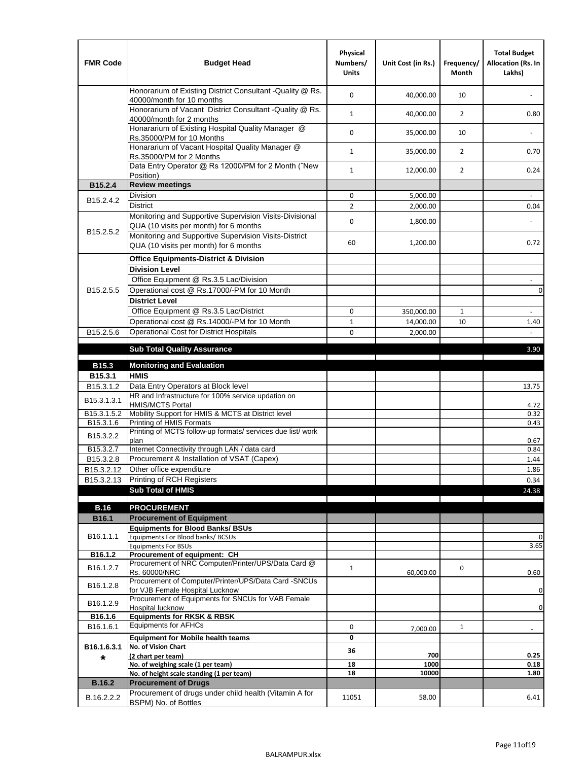| <b>FMR Code</b>         | <b>Budget Head</b>                                                                                | Physical<br>Numbers/<br><b>Units</b> | Unit Cost (in Rs.) | Frequency/<br><b>Month</b> | <b>Total Budget</b><br>Allocation (Rs. In<br>Lakhs) |
|-------------------------|---------------------------------------------------------------------------------------------------|--------------------------------------|--------------------|----------------------------|-----------------------------------------------------|
|                         | Honorarium of Existing District Consultant -Quality @ Rs.<br>40000/month for 10 months            | $\mathbf 0$                          | 40,000.00          | 10                         |                                                     |
|                         | Honorarium of Vacant District Consultant -Quality @ Rs.<br>40000/month for 2 months               | $\mathbf{1}$                         | 40,000.00          | $\overline{2}$             | 0.80                                                |
|                         | Honararium of Existing Hospital Quality Manager @<br>Rs.35000/PM for 10 Months                    | 0                                    | 35,000.00          | 10                         |                                                     |
|                         | Honararium of Vacant Hospital Quality Manager @<br>Rs.35000/PM for 2 Months                       | $\mathbf{1}$                         | 35,000.00          | $\overline{2}$             | 0.70                                                |
|                         | Data Entry Operator @ Rs 12000/PM for 2 Month ("New<br>Position)                                  | $\mathbf{1}$                         | 12,000.00          | $\overline{2}$             | 0.24                                                |
| B15.2.4                 | <b>Review meetings</b>                                                                            |                                      |                    |                            |                                                     |
| B <sub>15.2</sub> .4.2  | Division                                                                                          | 0                                    | 5,000.00           |                            |                                                     |
|                         | <b>District</b>                                                                                   | $\overline{2}$                       | 2,000.00           |                            | 0.04                                                |
|                         | Monitoring and Supportive Supervision Visits-Divisional<br>QUA (10 visits per month) for 6 months | $\mathbf 0$                          | 1,800.00           |                            |                                                     |
| B15.2.5.2               | Monitoring and Supportive Supervision Visits-District<br>QUA (10 visits per month) for 6 months   | 60                                   | 1,200.00           |                            | 0.72                                                |
|                         | <b>Office Equipments-District &amp; Division</b>                                                  |                                      |                    |                            |                                                     |
|                         | <b>Division Level</b>                                                                             |                                      |                    |                            |                                                     |
|                         | Office Equipment @ Rs.3.5 Lac/Division                                                            |                                      |                    |                            | $\sim$                                              |
| B15.2.5.5               | Operational cost @ Rs.17000/-PM for 10 Month                                                      |                                      |                    |                            | $\pmb{0}$                                           |
|                         | <b>District Level</b>                                                                             |                                      |                    |                            |                                                     |
|                         | Office Equipment @ Rs.3.5 Lac/District                                                            | 0                                    | 350,000.00         | $\mathbf{1}$               | $\blacksquare$                                      |
|                         | Operational cost @ Rs.14000/-PM for 10 Month                                                      | $1\,$                                | 14,000.00          | 10                         | 1.40                                                |
| B15.2.5.6               | Operational Cost for District Hospitals                                                           | 0                                    | 2,000.00           |                            | $\mathbf{r}$                                        |
|                         | <b>Sub Total Quality Assurance</b>                                                                |                                      |                    |                            | 3.90                                                |
|                         |                                                                                                   |                                      |                    |                            |                                                     |
| B15.3                   | <b>Monitoring and Evaluation</b><br><b>HMIS</b>                                                   |                                      |                    |                            |                                                     |
| B15.3.1<br>B15.3.1.2    | Data Entry Operators at Block level                                                               |                                      |                    |                            | 13.75                                               |
| B15.3.1.3.1             | HR and Infrastructure for 100% service updation on<br><b>HMIS/MCTS Portal</b>                     |                                      |                    |                            | 4.72                                                |
| B <sub>15.3.1.5.2</sub> | Mobility Support for HMIS & MCTS at District level                                                |                                      |                    |                            | 0.32                                                |
| B15.3.1.6               | Printing of HMIS Formats                                                                          |                                      |                    |                            | 0.43                                                |
| B15.3.2.2               | Printing of MCTS follow-up formats/ services due list/ work<br>plan                               |                                      |                    |                            | 0.67                                                |
| B15.3.2.7               | Internet Connectivity through LAN / data card                                                     |                                      |                    |                            | 0.84                                                |
| B15.3.2.8               | Procurement & Installation of VSAT (Capex)                                                        |                                      |                    |                            | 1.44                                                |
| B15.3.2.12              | Other office expenditure                                                                          |                                      |                    |                            | 1.86                                                |
| B15.3.2.13              | Printing of RCH Registers                                                                         |                                      |                    |                            | 0.34                                                |
|                         | <b>Sub Total of HMIS</b>                                                                          |                                      |                    |                            | 24.38                                               |
| <b>B.16</b>             | <b>PROCUREMENT</b>                                                                                |                                      |                    |                            |                                                     |
| B16.1                   | <b>Procurement of Equipment</b>                                                                   |                                      |                    |                            |                                                     |
|                         | <b>Equipments for Blood Banks/ BSUs</b>                                                           |                                      |                    |                            |                                                     |
| B16.1.1.1               | Equipments For Blood banks/ BCSUs                                                                 |                                      |                    |                            | 0                                                   |
|                         | <b>Equipments For BSUs</b>                                                                        |                                      |                    |                            | 3.65                                                |
| B16.1.2                 | Procurement of equipment: CH<br>Procurement of NRC Computer/Printer/UPS/Data Card @               |                                      |                    |                            |                                                     |
| B16.1.2.7               | Rs. 60000/NRC                                                                                     | $\mathbf{1}$                         | 60,000.00          | 0                          | 0.60                                                |
| B16.1.2.8               | Procurement of Computer/Printer/UPS/Data Card -SNCUs                                              |                                      |                    |                            |                                                     |
|                         | for VJB Female Hospital Lucknow<br>Procurement of Equipments for SNCUs for VAB Female             |                                      |                    |                            | 0                                                   |
| B16.1.2.9               | Hospital lucknow                                                                                  |                                      |                    |                            | 0                                                   |
| B16.1.6                 | <b>Equipments for RKSK &amp; RBSK</b>                                                             |                                      |                    |                            |                                                     |
| B16.1.6.1               | <b>Equipments for AFHCs</b>                                                                       | 0                                    | 7,000.00           | $\mathbf{1}$               | ÷,                                                  |
|                         | <b>Equipment for Mobile health teams</b>                                                          | 0                                    |                    |                            |                                                     |
| B16.1.6.3.1             | No. of Vision Chart                                                                               | 36                                   |                    |                            |                                                     |
| *                       | (2 chart per team)<br>No. of weighing scale (1 per team)                                          | 18                                   | 700<br>1000        |                            | 0.25<br>0.18                                        |
|                         | No. of height scale standing (1 per team)                                                         | 18                                   | 10000              |                            | 1.80                                                |
| <b>B.16.2</b>           | <b>Procurement of Drugs</b>                                                                       |                                      |                    |                            |                                                     |
| B.16.2.2.2              | Procurement of drugs under child health (Vitamin A for                                            | 11051                                | 58.00              |                            | 6.41                                                |
|                         | BSPM) No. of Bottles                                                                              |                                      |                    |                            |                                                     |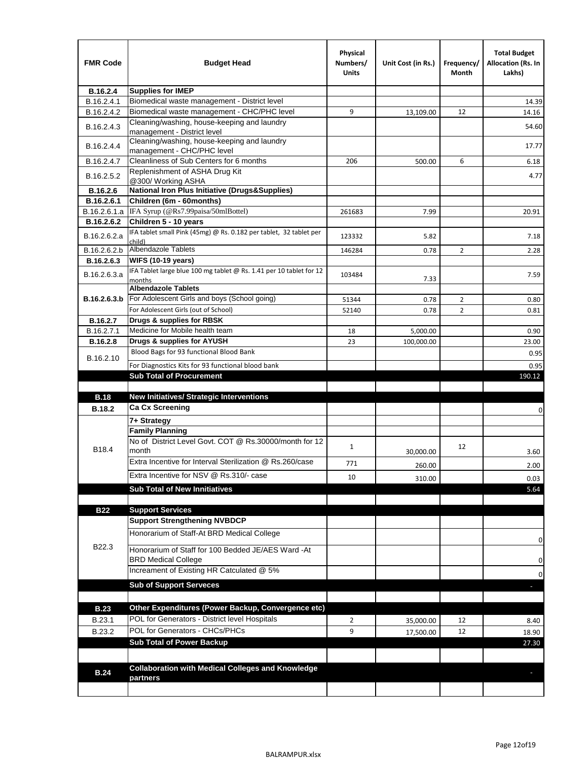| <b>FMR Code</b> | <b>Budget Head</b>                                                                        | Physical<br>Numbers/<br><b>Units</b> | Unit Cost (in Rs.) | Frequency/<br>Month | <b>Total Budget</b><br><b>Allocation (Rs. In</b><br>Lakhs) |
|-----------------|-------------------------------------------------------------------------------------------|--------------------------------------|--------------------|---------------------|------------------------------------------------------------|
| B.16.2.4        | <b>Supplies for IMEP</b>                                                                  |                                      |                    |                     |                                                            |
| B.16.2.4.1      | Biomedical waste management - District level                                              |                                      |                    |                     | 14.39                                                      |
| B.16.2.4.2      | Biomedical waste management - CHC/PHC level                                               | 9                                    | 13,109.00          | 12                  | 14.16                                                      |
| B.16.2.4.3      | Cleaning/washing, house-keeping and laundry<br>management - District level                |                                      |                    |                     | 54.60                                                      |
| B.16.2.4.4      | Cleaning/washing, house-keeping and laundry<br>management - CHC/PHC level                 |                                      |                    |                     | 17.77                                                      |
| B.16.2.4.7      | Cleanliness of Sub Centers for 6 months                                                   | 206                                  | 500.00             | 6                   | 6.18                                                       |
| B.16.2.5.2      | Replenishment of ASHA Drug Kit<br>@300/ Working ASHA                                      |                                      |                    |                     | 4.77                                                       |
| B.16.2.6        | <b>National Iron Plus Initiative (Drugs&amp;Supplies)</b>                                 |                                      |                    |                     |                                                            |
| B.16.2.6.1      | Children (6m - 60months)                                                                  |                                      |                    |                     |                                                            |
| B.16.2.6.1.a    | IFA Syrup (@Rs7.99paisa/50mlBottel)                                                       | 261683                               | 7.99               |                     | 20.91                                                      |
| B.16.2.6.2      | Children 5 - 10 years                                                                     |                                      |                    |                     |                                                            |
| B.16.2.6.2.a    | IFA tablet small Pink (45mg) @ Rs. 0.182 per tablet, 32 tablet per<br>child)              | 123332                               | 5.82               |                     | 7.18                                                       |
| B.16.2.6.2.b    | <b>Albendazole Tablets</b>                                                                | 146284                               | 0.78               | 2                   | 2.28                                                       |
| B.16.2.6.3      | <b>WIFS (10-19 years)</b>                                                                 |                                      |                    |                     |                                                            |
| B.16.2.6.3.a    | IFA Tablet large blue 100 mg tablet @ Rs. 1.41 per 10 tablet for 12<br>months             | 103484                               | 7.33               |                     | 7.59                                                       |
|                 | <b>Albendazole Tablets</b>                                                                |                                      |                    |                     |                                                            |
| B.16.2.6.3.b    | For Adolescent Girls and boys (School going)                                              | 51344                                | 0.78               | $\overline{2}$      | 0.80                                                       |
|                 | For Adolescent Girls (out of School)                                                      | 52140                                | 0.78               | $\overline{2}$      | 0.81                                                       |
| B.16.2.7        | Drugs & supplies for RBSK                                                                 |                                      |                    |                     |                                                            |
| B.16.2.7.1      | Medicine for Mobile health team                                                           | 18                                   | 5,000.00           |                     | 0.90                                                       |
| <b>B.16.2.8</b> | Drugs & supplies for AYUSH                                                                | 23                                   | 100,000.00         |                     | 23.00                                                      |
| B.16.2.10       | Blood Bags for 93 functional Blood Bank                                                   |                                      |                    |                     | 0.95                                                       |
|                 | For Diagnostics Kits for 93 functional blood bank                                         |                                      |                    |                     | 0.95                                                       |
|                 | <b>Sub Total of Procurement</b>                                                           |                                      |                    |                     | 190.12                                                     |
|                 |                                                                                           |                                      |                    |                     |                                                            |
| <b>B.18</b>     | <b>New Initiatives/ Strategic Interventions</b><br><b>Ca Cx Screening</b>                 |                                      |                    |                     |                                                            |
| <b>B.18.2</b>   |                                                                                           |                                      |                    |                     | 0                                                          |
|                 | 7+ Strategy                                                                               |                                      |                    |                     |                                                            |
| B18.4           | <b>Family Planning</b><br>No of District Level Govt. COT @ Rs.30000/month for 12<br>month | $\mathbf{1}$                         |                    | 12                  |                                                            |
|                 | Extra Incentive for Interval Sterilization @ Rs.260/case                                  |                                      | 30,000.00          |                     | 3.60                                                       |
|                 | Extra Incentive for NSV @ Rs.310/- case                                                   | 771                                  | 260.00             |                     | 2.00                                                       |
|                 |                                                                                           | 10                                   | 310.00             |                     | 0.03                                                       |
|                 | <b>Sub Total of New Innitiatives</b>                                                      |                                      |                    |                     | 5.64                                                       |
| <b>B22</b>      | <b>Support Services</b>                                                                   |                                      |                    |                     |                                                            |
|                 | <b>Support Strengthening NVBDCP</b>                                                       |                                      |                    |                     |                                                            |
|                 | Honorarium of Staff-At BRD Medical College                                                |                                      |                    |                     | 0                                                          |
| B22.3           | Honorarium of Staff for 100 Bedded JE/AES Ward -At<br><b>BRD Medical College</b>          |                                      |                    |                     |                                                            |
|                 | Increament of Existing HR Catculated @ 5%                                                 |                                      |                    |                     | 0                                                          |
|                 | <b>Sub of Support Serveces</b>                                                            |                                      |                    |                     | 0                                                          |
|                 |                                                                                           |                                      |                    |                     |                                                            |
| <b>B.23</b>     | Other Expenditures (Power Backup, Convergence etc)                                        |                                      |                    |                     |                                                            |
| B.23.1          | POL for Generators - District level Hospitals                                             | $\overline{2}$                       | 35,000.00          | 12                  | 8.40                                                       |
| B.23.2          | POL for Generators - CHCs/PHCs                                                            | 9                                    | 17,500.00          | 12                  | 18.90                                                      |
|                 | <b>Sub Total of Power Backup</b>                                                          |                                      |                    |                     | 27.30                                                      |
|                 |                                                                                           |                                      |                    |                     |                                                            |
| <b>B.24</b>     | <b>Collaboration with Medical Colleges and Knowledge</b>                                  |                                      |                    |                     |                                                            |
|                 | partners                                                                                  |                                      |                    |                     |                                                            |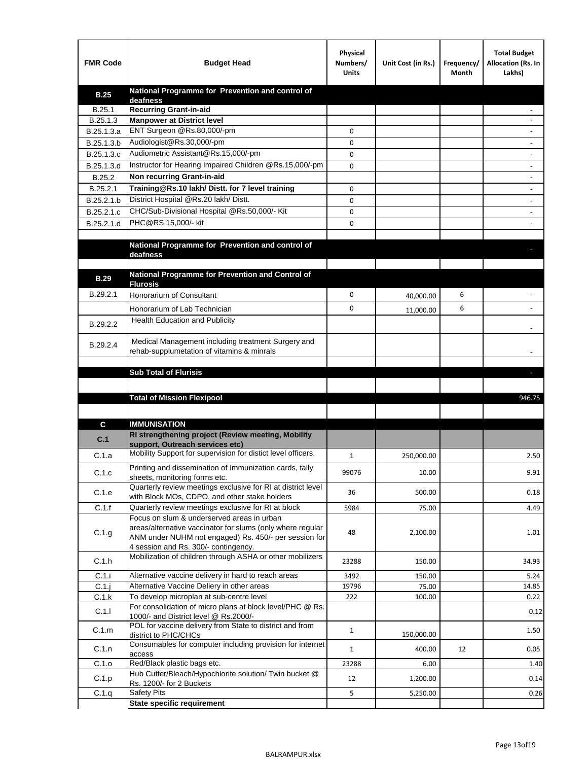| <b>FMR Code</b> | <b>Budget Head</b>                                                                            | Physical<br>Numbers/<br><b>Units</b> | Unit Cost (in Rs.) | Frequency/<br>Month | <b>Total Budget</b><br>Allocation (Rs. In<br>Lakhs) |
|-----------------|-----------------------------------------------------------------------------------------------|--------------------------------------|--------------------|---------------------|-----------------------------------------------------|
| <b>B.25</b>     | National Programme for Prevention and control of                                              |                                      |                    |                     |                                                     |
| B.25.1          | deafness<br><b>Recurring Grant-in-aid</b>                                                     |                                      |                    |                     |                                                     |
| B.25.1.3        | <b>Manpower at District level</b>                                                             |                                      |                    |                     |                                                     |
| B.25.1.3.a      | ENT Surgeon @Rs.80,000/-pm                                                                    | 0                                    |                    |                     |                                                     |
| B.25.1.3.b      | Audiologist@Rs.30,000/-pm                                                                     | 0                                    |                    |                     |                                                     |
| B.25.1.3.c      | Audiometric Assistant@Rs.15,000/-pm                                                           | 0                                    |                    |                     |                                                     |
| B.25.1.3.d      | Instructor for Hearing Impaired Children @Rs.15,000/-pm                                       | 0                                    |                    |                     |                                                     |
| B.25.2          | Non recurring Grant-in-aid                                                                    |                                      |                    |                     |                                                     |
| B.25.2.1        | Training@Rs.10 lakh/ Distt. for 7 level training                                              | 0                                    |                    |                     |                                                     |
| B.25.2.1.b      | District Hospital @Rs.20 lakh/Distt.                                                          | 0                                    |                    |                     |                                                     |
| B.25.2.1.c      | CHC/Sub-Divisional Hospital @Rs.50,000/- Kit                                                  | 0                                    |                    |                     |                                                     |
| B.25.2.1.d      | PHC@RS.15,000/- kit                                                                           | 0                                    |                    |                     |                                                     |
|                 |                                                                                               |                                      |                    |                     |                                                     |
|                 | National Programme for Prevention and control of<br>deafness                                  |                                      |                    |                     |                                                     |
|                 |                                                                                               |                                      |                    |                     |                                                     |
| <b>B.29</b>     | National Programme for Prevention and Control of                                              |                                      |                    |                     |                                                     |
|                 | <b>Flurosis</b>                                                                               |                                      |                    |                     |                                                     |
| B.29.2.1        | Honorarium of Consultant                                                                      | 0                                    | 40,000.00          | 6                   |                                                     |
|                 | Honorarium of Lab Technician                                                                  | 0                                    | 11,000.00          | 6                   |                                                     |
| B.29.2.2        | Health Education and Publicity                                                                |                                      |                    |                     |                                                     |
|                 | Medical Management including treatment Surgery and                                            |                                      |                    |                     |                                                     |
| B.29.2.4        | rehab-supplumetation of vitamins & minrals                                                    |                                      |                    |                     |                                                     |
|                 |                                                                                               |                                      |                    |                     |                                                     |
|                 | <b>Sub Total of Flurisis</b>                                                                  |                                      |                    |                     | н                                                   |
|                 |                                                                                               |                                      |                    |                     |                                                     |
|                 | <b>Total of Mission Flexipool</b>                                                             |                                      |                    |                     |                                                     |
|                 |                                                                                               |                                      |                    |                     | 946.75                                              |
|                 |                                                                                               |                                      |                    |                     |                                                     |
| C               | <b>IMMUNISATION</b>                                                                           |                                      |                    |                     |                                                     |
| C.1             | RI strengthening project (Review meeting, Mobility                                            |                                      |                    |                     |                                                     |
|                 | support. Outreach services etc)                                                               |                                      |                    |                     |                                                     |
| C.1.a           | Mobility Support for supervision for distict level officers.                                  | 1                                    | 250,000.00         |                     | 2.50                                                |
| C.1.c           | Printing and dissemination of Immunization cards, tally                                       | 99076                                | 10.00              |                     | 9.91                                                |
|                 | sheets, monitoring forms etc.<br>Quarterly review meetings exclusive for RI at district level |                                      |                    |                     |                                                     |
| C.1.e           | with Block MOs, CDPO, and other stake holders                                                 | 36                                   | 500.00             |                     | 0.18                                                |
| C.1.f           | Quarterly review meetings exclusive for RI at block                                           | 5984                                 | 75.00              |                     | 4.49                                                |
|                 | Focus on slum & underserved areas in urban                                                    |                                      |                    |                     |                                                     |
| C.1.g           | areas/alternative vaccinator for slums (only where regular                                    | 48                                   | 2,100.00           |                     | 1.01                                                |
|                 | ANM under NUHM not engaged) Rs. 450/- per session for<br>4 session and Rs. 300/- contingency. |                                      |                    |                     |                                                     |
|                 | Mobilization of children through ASHA or other mobilizers                                     |                                      |                    |                     |                                                     |
| C.1.h           |                                                                                               | 23288                                | 150.00             |                     | 34.93                                               |
| C.1.i           | Alternative vaccine delivery in hard to reach areas                                           | 3492                                 | 150.00             |                     | 5.24                                                |
| $C.1$ .j        | Alternative Vaccine Deliery in other areas<br>To develop microplan at sub-centre level        | 19796<br>222                         | 75.00<br>100.00    |                     | 14.85<br>0.22                                       |
| C.1.k           | For consolidation of micro plans at block level/PHC @ Rs.                                     |                                      |                    |                     |                                                     |
| C.1.1           | 1000/- and District level @ Rs.2000/-                                                         |                                      |                    |                     | 0.12                                                |
| C.1.m           | POL for vaccine delivery from State to district and from                                      | $\mathbf{1}$                         |                    |                     | 1.50                                                |
|                 | district to PHC/CHCs<br>Consumables for computer including provision for internet             |                                      | 150,000.00         |                     |                                                     |
| C.1.n           | access                                                                                        | $\mathbf{1}$                         | 400.00             | 12                  | 0.05                                                |
| C.1.o           | Red/Black plastic bags etc.                                                                   | 23288                                | 6.00               |                     | 1.40                                                |
| C.1.p           | Hub Cutter/Bleach/Hypochlorite solution/ Twin bucket @                                        | 12                                   | 1,200.00           |                     | 0.14                                                |
| C.1.q           | Rs. 1200/- for 2 Buckets<br><b>Safety Pits</b>                                                | 5                                    | 5,250.00           |                     | 0.26                                                |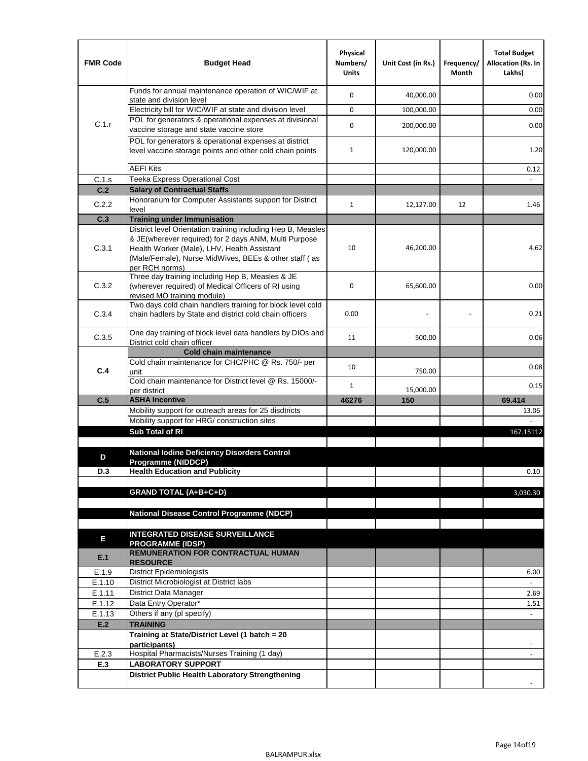| <b>FMR Code</b>  | <b>Budget Head</b>                                                                                                                                                              | Physical<br>Numbers/<br><b>Units</b> | Unit Cost (in Rs.) | Frequency/<br>Month | <b>Total Budget</b><br>Allocation (Rs. In<br>Lakhs) |
|------------------|---------------------------------------------------------------------------------------------------------------------------------------------------------------------------------|--------------------------------------|--------------------|---------------------|-----------------------------------------------------|
|                  | Funds for annual maintenance operation of WIC/WIF at<br>state and division level                                                                                                | 0                                    | 40,000.00          |                     | 0.00                                                |
|                  | Electricity bill for WIC/WIF at state and division level                                                                                                                        | 0                                    | 100,000.00         |                     | 0.00                                                |
| C.1.r            | POL for generators & operational expenses at divisional                                                                                                                         |                                      |                    |                     |                                                     |
|                  | vaccine storage and state vaccine store                                                                                                                                         | 0                                    | 200,000.00         |                     | 0.00                                                |
|                  | POL for generators & operational expenses at district<br>level vaccine storage points and other cold chain points                                                               | $\mathbf{1}$                         | 120,000.00         |                     | 1.20                                                |
|                  | <b>AEFI Kits</b>                                                                                                                                                                |                                      |                    |                     | 0.12                                                |
| C.1.s            | Teeka Express Operational Cost                                                                                                                                                  |                                      |                    |                     |                                                     |
| C.2              | <b>Salary of Contractual Staffs</b>                                                                                                                                             |                                      |                    |                     |                                                     |
| C.2.2            | Honorarium for Computer Assistants support for District<br>level                                                                                                                | $\mathbf{1}$                         | 12,127.00          | 12                  | 1.46                                                |
| C.3              | <b>Training under Immunisation</b>                                                                                                                                              |                                      |                    |                     |                                                     |
|                  | District level Orientation training including Hep B, Measles                                                                                                                    |                                      |                    |                     |                                                     |
| C.3.1            | & JE(wherever required) for 2 days ANM, Multi Purpose<br>Health Worker (Male), LHV, Health Assistant<br>(Male/Female), Nurse MidWives, BEEs & other staff (as<br>per RCH norms) | 10                                   | 46,200.00          |                     | 4.62                                                |
| C.3.2            | Three day training including Hep B, Measles & JE<br>(wherever required) of Medical Officers of RI using<br>revised MO training module)                                          | 0                                    | 65,600.00          |                     | 0.00                                                |
| C.3.4            | Two days cold chain handlers training for block level cold<br>chain hadlers by State and district cold chain officers                                                           | 0.00                                 |                    |                     | 0.21                                                |
| C.3.5            | One day training of block level data handlers by DIOs and<br>District cold chain officer                                                                                        | 11                                   | 500.00             |                     | 0.06                                                |
|                  | <b>Cold chain maintenance</b>                                                                                                                                                   |                                      |                    |                     |                                                     |
| C.4              | Cold chain maintenance for CHC/PHC @ Rs. 750/- per                                                                                                                              | 10                                   |                    |                     | 0.08                                                |
|                  | unit<br>Cold chain maintenance for District level @ Rs. 15000/-                                                                                                                 | 1                                    | 750.00             |                     | 0.15                                                |
| C.5              | per district<br><b>ASHA Incentive</b>                                                                                                                                           | 46276                                | 15,000.00<br>150   |                     | 69.414                                              |
|                  | Mobility support for outreach areas for 25 disdtricts                                                                                                                           |                                      |                    |                     | 13.06                                               |
|                  | Mobility support for HRG/ construction sites                                                                                                                                    |                                      |                    |                     |                                                     |
|                  | Sub Total of RI                                                                                                                                                                 |                                      |                    |                     | 167.15112                                           |
|                  |                                                                                                                                                                                 |                                      |                    |                     |                                                     |
| D                | <b>National lodine Deficiency Disorders Control</b><br>Programme (NIDDCP)                                                                                                       |                                      |                    |                     |                                                     |
| D.3              | <b>Health Education and Publicity</b>                                                                                                                                           |                                      |                    |                     | 0.10                                                |
|                  |                                                                                                                                                                                 |                                      |                    |                     |                                                     |
|                  | <b>GRAND TOTAL (A+B+C+D)</b>                                                                                                                                                    |                                      |                    |                     | 3,030.30                                            |
|                  |                                                                                                                                                                                 |                                      |                    |                     |                                                     |
|                  | National Disease Control Programme (NDCP)                                                                                                                                       |                                      |                    |                     |                                                     |
|                  | <b>INTEGRATED DISEASE SURVEILLANCE</b>                                                                                                                                          |                                      |                    |                     |                                                     |
| Е                | <b>PROGRAMME (IDSP)</b>                                                                                                                                                         |                                      |                    |                     |                                                     |
| E.1              | <b>REMUNERATION FOR CONTRACTUAL HUMAN</b><br><b>RESOURCE</b>                                                                                                                    |                                      |                    |                     |                                                     |
| E.1.9            | District Epidemiologists                                                                                                                                                        |                                      |                    |                     | 6.00                                                |
| E.1.10           | District Microbiologist at District labs                                                                                                                                        |                                      |                    |                     |                                                     |
| E.1.11           | District Data Manager                                                                                                                                                           |                                      |                    |                     | 2.69                                                |
| E.1.12<br>E.1.13 | Data Entry Operator*<br>Others if any (pl specify)                                                                                                                              |                                      |                    |                     | 1.51<br>$\omega$                                    |
| E.2              | <b>TRAINING</b>                                                                                                                                                                 |                                      |                    |                     |                                                     |
|                  | Training at State/District Level (1 batch = 20                                                                                                                                  |                                      |                    |                     |                                                     |
|                  | participants)                                                                                                                                                                   |                                      |                    |                     |                                                     |
| E.2.3            | Hospital Pharmacists/Nurses Training (1 day)                                                                                                                                    |                                      |                    |                     |                                                     |
| E.3              | <b>LABORATORY SUPPORT</b>                                                                                                                                                       |                                      |                    |                     |                                                     |
|                  | <b>District Public Health Laboratory Strengthening</b>                                                                                                                          |                                      |                    |                     |                                                     |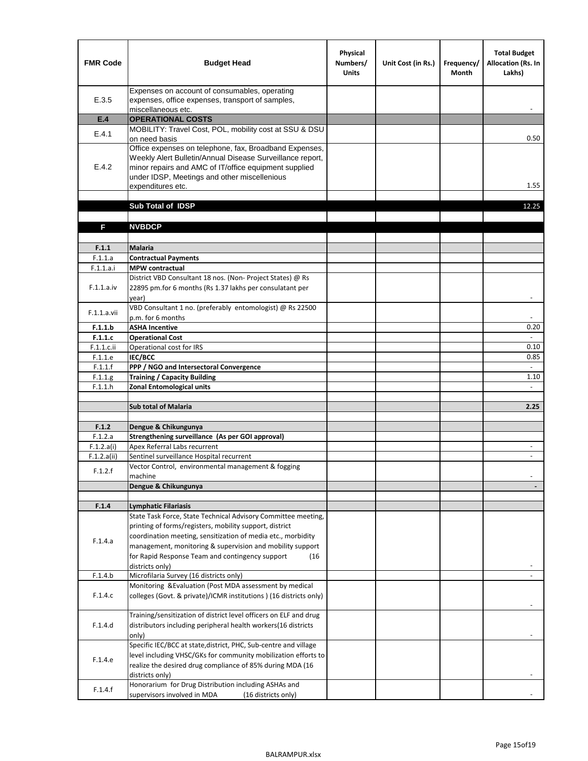| <b>FMR Code</b>       | <b>Budget Head</b>                                                                                                                                                                                                                                | Physical<br>Numbers/<br><b>Units</b> | Unit Cost (in Rs.) | Frequency/<br><b>Month</b> | <b>Total Budget</b><br><b>Allocation (Rs. In</b><br>Lakhs) |
|-----------------------|---------------------------------------------------------------------------------------------------------------------------------------------------------------------------------------------------------------------------------------------------|--------------------------------------|--------------------|----------------------------|------------------------------------------------------------|
| E.3.5                 | Expenses on account of consumables, operating<br>expenses, office expenses, transport of samples,<br>miscellaneous etc.                                                                                                                           |                                      |                    |                            |                                                            |
| E.4                   | <b>OPERATIONAL COSTS</b>                                                                                                                                                                                                                          |                                      |                    |                            |                                                            |
| E.4.1                 | MOBILITY: Travel Cost, POL, mobility cost at SSU & DSU                                                                                                                                                                                            |                                      |                    |                            |                                                            |
|                       | on need basis                                                                                                                                                                                                                                     |                                      |                    |                            | 0.50                                                       |
| E.4.2                 | Office expenses on telephone, fax, Broadband Expenses,<br>Weekly Alert Bulletin/Annual Disease Surveillance report,<br>minor repairs and AMC of IT/office equipment supplied<br>under IDSP, Meetings and other miscellenious<br>expenditures etc. |                                      |                    |                            | 1.55                                                       |
|                       | Sub Total of IDSP                                                                                                                                                                                                                                 |                                      |                    |                            | 12.25                                                      |
|                       |                                                                                                                                                                                                                                                   |                                      |                    |                            |                                                            |
| F                     | <b>NVBDCP</b>                                                                                                                                                                                                                                     |                                      |                    |                            |                                                            |
|                       |                                                                                                                                                                                                                                                   |                                      |                    |                            |                                                            |
| F.1.1                 | <b>Malaria</b>                                                                                                                                                                                                                                    |                                      |                    |                            |                                                            |
| F.1.1.a               | <b>Contractual Payments</b>                                                                                                                                                                                                                       |                                      |                    |                            |                                                            |
| F.1.1.a.i             | <b>MPW</b> contractual<br>District VBD Consultant 18 nos. (Non-Project States) @ Rs                                                                                                                                                               |                                      |                    |                            |                                                            |
| F.1.1.a.iv            | 22895 pm.for 6 months (Rs 1.37 lakhs per consulatant per<br>year)                                                                                                                                                                                 |                                      |                    |                            | $\overline{\phantom{a}}$                                   |
|                       | VBD Consultant 1 no. (preferably entomologist) @ Rs 22500                                                                                                                                                                                         |                                      |                    |                            |                                                            |
| F.1.1.a.vii           | p.m. for 6 months                                                                                                                                                                                                                                 |                                      |                    |                            |                                                            |
| F.1.1.b               | <b>ASHA Incentive</b>                                                                                                                                                                                                                             |                                      |                    |                            | 0.20                                                       |
| F.1.1.c               | <b>Operational Cost</b>                                                                                                                                                                                                                           |                                      |                    |                            |                                                            |
| $F.1.1.c.$ ii         | Operational cost for IRS                                                                                                                                                                                                                          |                                      |                    |                            | 0.10                                                       |
| F.1.1.e<br>F.1.1.f    | <b>IEC/BCC</b><br>PPP / NGO and Intersectoral Convergence                                                                                                                                                                                         |                                      |                    |                            | 0.85<br>$\mathbb{L}$                                       |
| F.1.1.g               | <b>Training / Capacity Building</b>                                                                                                                                                                                                               |                                      |                    |                            | 1.10                                                       |
| F.1.1.h               | <b>Zonal Entomological units</b>                                                                                                                                                                                                                  |                                      |                    |                            |                                                            |
|                       |                                                                                                                                                                                                                                                   |                                      |                    |                            |                                                            |
|                       | <b>Sub total of Malaria</b>                                                                                                                                                                                                                       |                                      |                    |                            | 2.25                                                       |
|                       |                                                                                                                                                                                                                                                   |                                      |                    |                            |                                                            |
| F.1.2                 | Dengue & Chikungunya                                                                                                                                                                                                                              |                                      |                    |                            |                                                            |
| F.1.2.a<br>F.1.2.a(i) | Strengthening surveillance (As per GOI approval)<br>Apex Referral Labs recurrent                                                                                                                                                                  |                                      |                    |                            |                                                            |
| F.1.2.a(ii)           | Sentinel surveillance Hospital recurrent                                                                                                                                                                                                          |                                      |                    |                            | $\sim$                                                     |
|                       | Vector Control, environmental management & fogging                                                                                                                                                                                                |                                      |                    |                            |                                                            |
| F.1.2.f               | machine                                                                                                                                                                                                                                           |                                      |                    |                            |                                                            |
|                       | Dengue & Chikungunya                                                                                                                                                                                                                              |                                      |                    |                            |                                                            |
|                       |                                                                                                                                                                                                                                                   |                                      |                    |                            |                                                            |
| F.1.4                 | <b>Lymphatic Filariasis</b>                                                                                                                                                                                                                       |                                      |                    |                            |                                                            |
|                       | State Task Force, State Technical Advisory Committee meeting,<br>printing of forms/registers, mobility support, district                                                                                                                          |                                      |                    |                            |                                                            |
|                       | coordination meeting, sensitization of media etc., morbidity                                                                                                                                                                                      |                                      |                    |                            |                                                            |
| F.1.4.a               | management, monitoring & supervision and mobility support                                                                                                                                                                                         |                                      |                    |                            |                                                            |
|                       | for Rapid Response Team and contingency support<br>(16)                                                                                                                                                                                           |                                      |                    |                            |                                                            |
|                       | districts only)                                                                                                                                                                                                                                   |                                      |                    |                            |                                                            |
| F.1.4.b               | Microfilaria Survey (16 districts only)                                                                                                                                                                                                           |                                      |                    |                            |                                                            |
| F.1.4.c               | Monitoring & Evaluation (Post MDA assessment by medical<br>colleges (Govt. & private)/ICMR institutions ) (16 districts only)                                                                                                                     |                                      |                    |                            |                                                            |
|                       | Training/sensitization of district level officers on ELF and drug                                                                                                                                                                                 |                                      |                    |                            |                                                            |
| F.1.4.d               | distributors including peripheral health workers(16 districts                                                                                                                                                                                     |                                      |                    |                            |                                                            |
|                       | only)                                                                                                                                                                                                                                             |                                      |                    |                            |                                                            |
|                       | Specific IEC/BCC at state, district, PHC, Sub-centre and village                                                                                                                                                                                  |                                      |                    |                            |                                                            |
| F.1.4.e               | level including VHSC/GKs for community mobilization efforts to                                                                                                                                                                                    |                                      |                    |                            |                                                            |
|                       | realize the desired drug compliance of 85% during MDA (16                                                                                                                                                                                         |                                      |                    |                            |                                                            |
|                       | districts only)                                                                                                                                                                                                                                   |                                      |                    |                            |                                                            |
| F.1.4.f               | Honorarium for Drug Distribution including ASHAs and<br>supervisors involved in MDA<br>(16 districts only)                                                                                                                                        |                                      |                    |                            |                                                            |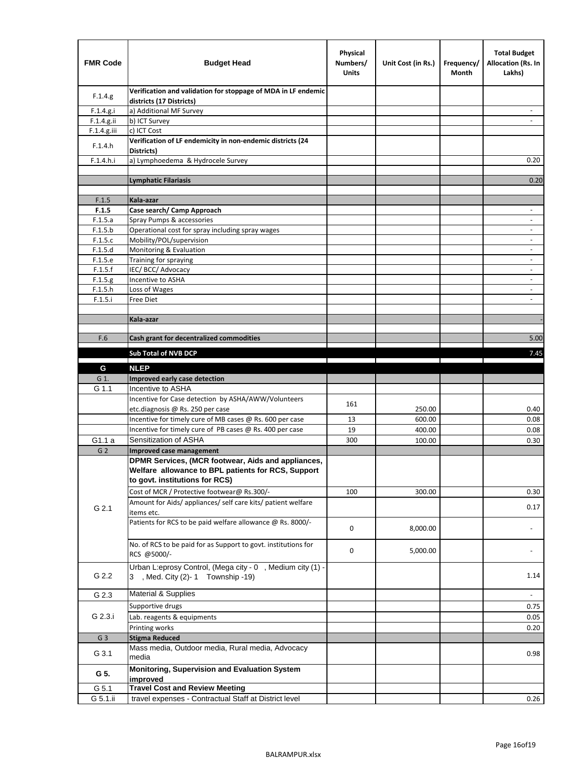| <b>FMR Code</b>    | <b>Budget Head</b>                                                                             | Physical<br>Numbers/<br>Units | Unit Cost (in Rs.) | Frequency/<br>Month | <b>Total Budget</b><br><b>Allocation (Rs. In</b><br>Lakhs) |
|--------------------|------------------------------------------------------------------------------------------------|-------------------------------|--------------------|---------------------|------------------------------------------------------------|
| F.1.4.g.           | Verification and validation for stoppage of MDA in LF endemic<br>districts (17 Districts)      |                               |                    |                     |                                                            |
| F.1.4.g.i          | a) Additional MF Survey                                                                        |                               |                    |                     |                                                            |
| F.1.4.g.ii         | b) ICT Survey                                                                                  |                               |                    |                     |                                                            |
| $F.1.4.g.$ iii     | c) ICT Cost                                                                                    |                               |                    |                     |                                                            |
| F.1.4.h            | Verification of LF endemicity in non-endemic districts (24<br>Districts)                       |                               |                    |                     |                                                            |
| F.1.4.h.i          | a) Lymphoedema & Hydrocele Survey                                                              |                               |                    |                     | 0.20                                                       |
|                    | <b>Lymphatic Filariasis</b>                                                                    |                               |                    |                     | 0.20                                                       |
|                    |                                                                                                |                               |                    |                     |                                                            |
| F.1.5              | Kala-azar                                                                                      |                               |                    |                     |                                                            |
| F.1.5              | Case search/ Camp Approach                                                                     |                               |                    |                     | $\overline{\phantom{a}}$                                   |
| F.1.5.a            | Spray Pumps & accessories                                                                      |                               |                    |                     | $\overline{\phantom{a}}$                                   |
| F.1.5.b            | Operational cost for spray including spray wages                                               |                               |                    |                     |                                                            |
| F.1.5.c            | Mobility/POL/supervision                                                                       |                               |                    |                     | $\overline{\phantom{a}}$                                   |
| F.1.5.d            | Monitoring & Evaluation                                                                        |                               |                    |                     |                                                            |
| F.1.5.e            | Training for spraying                                                                          |                               |                    |                     | $\blacksquare$                                             |
| F.1.5.f            | IEC/BCC/Advocacy                                                                               |                               |                    |                     |                                                            |
| F.1.5.g            | Incentive to ASHA<br>Loss of Wages                                                             |                               |                    |                     | $\overline{\phantom{a}}$                                   |
| F.1.5.h<br>F.1.5.i | Free Diet                                                                                      |                               |                    |                     | $\overline{\phantom{a}}$                                   |
|                    |                                                                                                |                               |                    |                     |                                                            |
|                    | Kala-azar                                                                                      |                               |                    |                     |                                                            |
|                    |                                                                                                |                               |                    |                     |                                                            |
| F.6                | Cash grant for decentralized commodities                                                       |                               |                    |                     | 5.00                                                       |
|                    | Sub Total of NVB DCP                                                                           |                               |                    |                     | 7.45                                                       |
|                    |                                                                                                |                               |                    |                     |                                                            |
| G                  | <b>NLEP</b>                                                                                    |                               |                    |                     |                                                            |
| G 1.               | Improved early case detection                                                                  |                               |                    |                     |                                                            |
| G 1.1              | Incentive to ASHA                                                                              |                               |                    |                     |                                                            |
|                    | Incentive for Case detection by ASHA/AWW/Volunteers                                            | 161                           |                    |                     |                                                            |
|                    | etc.diagnosis @ Rs. 250 per case                                                               |                               | 250.00             |                     | 0.40                                                       |
|                    | Incentive for timely cure of MB cases @ Rs. 600 per case                                       | 13<br>19                      | 600.00             |                     | 0.08                                                       |
| G1.1 a             | Incentive for timely cure of PB cases @ Rs. 400 per case<br>Sensitization of ASHA              | 300                           | 400.00<br>100.00   |                     | 0.08<br>0.30                                               |
| G <sub>2</sub>     | <b>Improved case management</b>                                                                |                               |                    |                     |                                                            |
|                    | DPMR Services, (MCR footwear, Aids and appliances,                                             |                               |                    |                     |                                                            |
|                    | Welfare allowance to BPL patients for RCS, Support<br>to govt. institutions for RCS)           |                               |                    |                     |                                                            |
|                    | Cost of MCR / Protective footwear@ Rs.300/-                                                    | 100                           | 300.00             |                     | 0.30                                                       |
|                    | Amount for Aids/ appliances/ self care kits/ patient welfare                                   |                               |                    |                     |                                                            |
| G 2.1              | items etc.                                                                                     |                               |                    |                     | 0.17                                                       |
|                    | Patients for RCS to be paid welfare allowance @ Rs. 8000/-                                     | 0                             | 8,000.00           |                     |                                                            |
|                    | No. of RCS to be paid for as Support to govt. institutions for<br>RCS @5000/-                  | 0                             | 5,000.00           |                     |                                                            |
| G 2.2              | Urban L:eprosy Control, (Mega city - 0, Medium city (1) -<br>3 , Med. City (2)-1 Township -19) |                               |                    |                     | 1.14                                                       |
| G 2.3              | Material & Supplies                                                                            |                               |                    |                     | $\blacksquare$                                             |
|                    | Supportive drugs                                                                               |                               |                    |                     | 0.75                                                       |
| G 2.3.i            | Lab. reagents & equipments                                                                     |                               |                    |                     | 0.05                                                       |
|                    | Printing works                                                                                 |                               |                    |                     | 0.20                                                       |
| G <sub>3</sub>     | <b>Stigma Reduced</b>                                                                          |                               |                    |                     |                                                            |
|                    | Mass media, Outdoor media, Rural media, Advocacy                                               |                               |                    |                     |                                                            |
| G 3.1              | media<br>Monitoring, Supervision and Evaluation System                                         |                               |                    |                     | 0.98                                                       |
| G 5.               | improved                                                                                       |                               |                    |                     |                                                            |
| G 5.1              | <b>Travel Cost and Review Meeting</b>                                                          |                               |                    |                     |                                                            |
| G 5.1.ii           | travel expenses - Contractual Staff at District level                                          |                               |                    |                     | 0.26                                                       |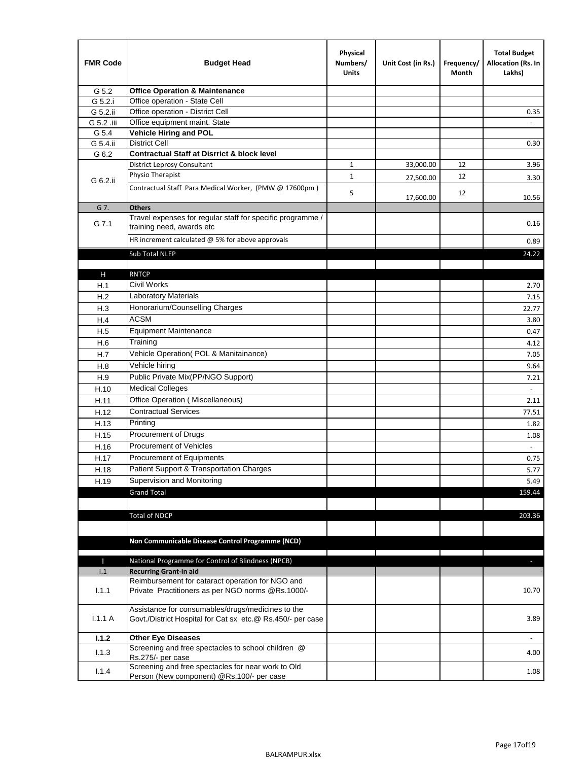| <b>FMR Code</b> | <b>Budget Head</b>                                                                                              | Physical<br>Numbers/<br><b>Units</b> | Unit Cost (in Rs.) | Frequency/<br>Month | <b>Total Budget</b><br>Allocation (Rs. In<br>Lakhs) |
|-----------------|-----------------------------------------------------------------------------------------------------------------|--------------------------------------|--------------------|---------------------|-----------------------------------------------------|
| G 5.2           | <b>Office Operation &amp; Maintenance</b>                                                                       |                                      |                    |                     |                                                     |
| G 5.2.i         | Office operation - State Cell                                                                                   |                                      |                    |                     |                                                     |
| G 5.2.ii        | Office operation - District Cell                                                                                |                                      |                    |                     | 0.35                                                |
| G 5.2 .iii      | Office equipment maint. State                                                                                   |                                      |                    |                     |                                                     |
| G 5.4           | Vehicle Hiring and POL                                                                                          |                                      |                    |                     |                                                     |
| G 5.4.ii        | <b>District Cell</b>                                                                                            |                                      |                    |                     | 0.30                                                |
| G 6.2           | <b>Contractual Staff at Disrrict &amp; block level</b>                                                          |                                      |                    |                     |                                                     |
|                 | <b>District Leprosy Consultant</b>                                                                              | 1                                    | 33,000.00          | 12                  | 3.96                                                |
| G 6.2.ii        | Physio Therapist                                                                                                | $\mathbf{1}$                         | 27,500.00          | 12                  | 3.30                                                |
|                 | Contractual Staff Para Medical Worker, (PMW @ 17600pm)                                                          | 5                                    | 17,600.00          | 12                  | 10.56                                               |
| G 7.            | <b>Others</b>                                                                                                   |                                      |                    |                     |                                                     |
| G 7.1           | Travel expenses for regular staff for specific programme /<br>training need, awards etc                         |                                      |                    |                     | 0.16                                                |
|                 | HR increment calculated $@$ 5% for above approvals                                                              |                                      |                    |                     | 0.89                                                |
|                 | Sub Total NLEP                                                                                                  |                                      |                    |                     | 24.22                                               |
|                 |                                                                                                                 |                                      |                    |                     |                                                     |
| Н               | <b>RNTCP</b>                                                                                                    |                                      |                    |                     |                                                     |
| H.1             | Civil Works                                                                                                     |                                      |                    |                     | 2.70                                                |
| H.2             | Laboratory Materials                                                                                            |                                      |                    |                     | 7.15                                                |
| H.3             | Honorarium/Counselling Charges                                                                                  |                                      |                    |                     | 22.77                                               |
| H.4             | <b>ACSM</b>                                                                                                     |                                      |                    |                     | 3.80                                                |
| H.5             | <b>Equipment Maintenance</b>                                                                                    |                                      |                    |                     | 0.47                                                |
| H.6             | Training                                                                                                        |                                      |                    |                     | 4.12                                                |
| H.7             | Vehicle Operation(POL & Manitainance)                                                                           |                                      |                    |                     | 7.05                                                |
| H.8             | Vehicle hiring                                                                                                  |                                      |                    |                     | 9.64                                                |
| H.9             | Public Private Mix(PP/NGO Support)                                                                              |                                      |                    |                     | 7.21                                                |
| H.10            | <b>Medical Colleges</b>                                                                                         |                                      |                    |                     | $\blacksquare$                                      |
| H.11            | Office Operation (Miscellaneous)                                                                                |                                      |                    |                     | 2.11                                                |
| H.12            | <b>Contractual Services</b>                                                                                     |                                      |                    |                     | 77.51                                               |
| H.13            | Printing                                                                                                        |                                      |                    |                     | 1.82                                                |
| H.15            | Procurement of Drugs                                                                                            |                                      |                    |                     | 1.08                                                |
| H.16            | Procurement of Vehicles                                                                                         |                                      |                    |                     | $\omega$                                            |
| H.17            | Procurement of Equipments                                                                                       |                                      |                    |                     | 0.75                                                |
| H.18            | Patient Support & Transportation Charges                                                                        |                                      |                    |                     | 5.77                                                |
| H.19            | Supervision and Monitoring                                                                                      |                                      |                    |                     | 5.49                                                |
|                 | <b>Grand Total</b>                                                                                              |                                      |                    |                     | 159.44                                              |
|                 |                                                                                                                 |                                      |                    |                     |                                                     |
|                 | <b>Total of NDCP</b>                                                                                            |                                      |                    |                     | 203.36                                              |
|                 | Non Communicable Disease Control Programme (NCD)                                                                |                                      |                    |                     |                                                     |
|                 |                                                                                                                 |                                      |                    |                     |                                                     |
| Т               | National Programme for Control of Blindness (NPCB)                                                              |                                      |                    |                     | ÷.                                                  |
| 1.1             | <b>Recurring Grant-in aid</b><br>Reimbursement for cataract operation for NGO and                               |                                      |                    |                     |                                                     |
| 1.1.1           | Private Practitioners as per NGO norms @Rs.1000/-                                                               |                                      |                    |                     | 10.70                                               |
| 1.1.1A          | Assistance for consumables/drugs/medicines to the<br>Govt./District Hospital for Cat sx etc.@ Rs.450/- per case |                                      |                    |                     | 3.89                                                |
| 1.1.2           | <b>Other Eye Diseases</b>                                                                                       |                                      |                    |                     |                                                     |
| 1.1.3           | Screening and free spectacles to school children @                                                              |                                      |                    |                     | 4.00                                                |
|                 | Rs.275/- per case                                                                                               |                                      |                    |                     |                                                     |
| 1.1.4           | Screening and free spectacles for near work to Old<br>Person (New component) @Rs.100/- per case                 |                                      |                    |                     | 1.08                                                |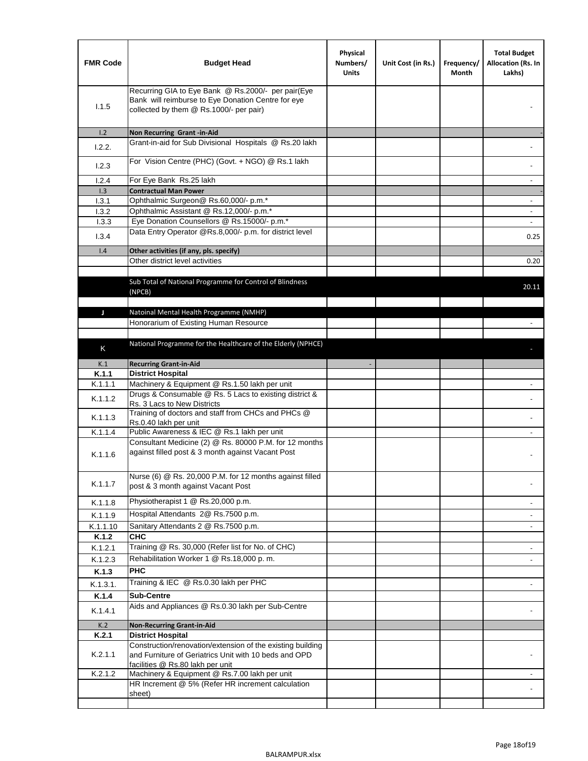| <b>FMR Code</b> | <b>Budget Head</b>                                                                                                                                  | Physical<br>Numbers/<br><b>Units</b> | Unit Cost (in Rs.) | Frequency/<br>Month | <b>Total Budget</b><br>Allocation (Rs. In<br>Lakhs) |
|-----------------|-----------------------------------------------------------------------------------------------------------------------------------------------------|--------------------------------------|--------------------|---------------------|-----------------------------------------------------|
| 1.1.5           | Recurring GIA to Eye Bank @ Rs.2000/- per pair(Eye<br>Bank will reimburse to Eye Donation Centre for eye<br>collected by them @ Rs.1000/- per pair) |                                      |                    |                     |                                                     |
| 1.2             | Non Recurring Grant -in-Aid                                                                                                                         |                                      |                    |                     |                                                     |
| 1.2.2.          | Grant-in-aid for Sub Divisional Hospitals @ Rs.20 lakh                                                                                              |                                      |                    |                     |                                                     |
| 1.2.3           | For Vision Centre (PHC) (Govt. + NGO) @ Rs.1 lakh                                                                                                   |                                      |                    |                     |                                                     |
| 1.2.4           | For Eye Bank Rs.25 lakh                                                                                                                             |                                      |                    |                     | ÷.                                                  |
| 1.3             | <b>Contractual Man Power</b>                                                                                                                        |                                      |                    |                     |                                                     |
| 1.3.1           | Ophthalmic Surgeon@ Rs.60,000/- p.m.*                                                                                                               |                                      |                    |                     | $\overline{\phantom{a}}$                            |
| 1.3.2           | Ophthalmic Assistant @ Rs.12,000/- p.m.*                                                                                                            |                                      |                    |                     |                                                     |
| 1.3.3           | Eye Donation Counsellors @ Rs.15000/- p.m.*                                                                                                         |                                      |                    |                     | $\overline{\phantom{a}}$                            |
| 1.3.4           | Data Entry Operator @Rs.8,000/- p.m. for district level                                                                                             |                                      |                    |                     | 0.25                                                |
| 1.4             | Other activities (if any, pls. specify)                                                                                                             |                                      |                    |                     |                                                     |
|                 | Other district level activities                                                                                                                     |                                      |                    |                     | 0.20                                                |
|                 | Sub Total of National Programme for Control of Blindness<br>(NPCB)                                                                                  |                                      |                    |                     | 20.11                                               |
|                 |                                                                                                                                                     |                                      |                    |                     |                                                     |
| J               | Natoinal Mental Health Programme (NMHP)<br>Honorarium of Existing Human Resource                                                                    |                                      |                    |                     |                                                     |
|                 |                                                                                                                                                     |                                      |                    |                     |                                                     |
|                 | National Programme for the Healthcare of the Elderly (NPHCE)                                                                                        |                                      |                    |                     |                                                     |
| K               |                                                                                                                                                     |                                      |                    |                     |                                                     |
| K.1             | <b>Recurring Grant-in-Aid</b>                                                                                                                       |                                      |                    |                     |                                                     |
| K.1.1           | <b>District Hospital</b>                                                                                                                            |                                      |                    |                     |                                                     |
| K.1.1.1         | Machinery & Equipment @ Rs.1.50 lakh per unit                                                                                                       |                                      |                    |                     |                                                     |
| K.1.1.2         | Drugs & Consumable @ Rs. 5 Lacs to existing district &<br>Rs. 3 Lacs to New Districts                                                               |                                      |                    |                     |                                                     |
| K.1.1.3         | Training of doctors and staff from CHCs and PHCs @<br>Rs.0.40 lakh per unit                                                                         |                                      |                    |                     |                                                     |
| K.1.1.4         | Public Awareness & IEC @ Rs.1 lakh per unit                                                                                                         |                                      |                    |                     |                                                     |
| K.1.1.6         | Consultant Medicine (2) @ Rs. 80000 P.M. for 12 months<br>against filled post & 3 month against Vacant Post                                         |                                      |                    |                     |                                                     |
| K.1.1.7         | Nurse (6) @ Rs. 20,000 P.M. for 12 months against filled<br>post & 3 month against Vacant Post                                                      |                                      |                    |                     |                                                     |
| K.1.1.8         | Physiotherapist 1 @ Rs.20,000 p.m.                                                                                                                  |                                      |                    |                     |                                                     |
| K.1.1.9         | Hospital Attendants 2@ Rs.7500 p.m.                                                                                                                 |                                      |                    |                     |                                                     |
| K.1.1.10        | Sanitary Attendants 2 @ Rs.7500 p.m.                                                                                                                |                                      |                    |                     | $\overline{\phantom{a}}$                            |
| K.1.2           | <b>CHC</b>                                                                                                                                          |                                      |                    |                     |                                                     |
| K.1.2.1         | Training @ Rs. 30,000 (Refer list for No. of CHC)                                                                                                   |                                      |                    |                     |                                                     |
| K.1.2.3         | Rehabilitation Worker 1 @ Rs.18,000 p. m.                                                                                                           |                                      |                    |                     |                                                     |
| K.1.3           | <b>PHC</b>                                                                                                                                          |                                      |                    |                     |                                                     |
| K.1.3.1.        | Training & IEC @ Rs.0.30 lakh per PHC                                                                                                               |                                      |                    |                     |                                                     |
| K.1.4           | <b>Sub-Centre</b>                                                                                                                                   |                                      |                    |                     |                                                     |
|                 | Aids and Appliances @ Rs.0.30 lakh per Sub-Centre                                                                                                   |                                      |                    |                     |                                                     |
| K.1.4.1         |                                                                                                                                                     |                                      |                    |                     |                                                     |
| K.2             | <b>Non-Recurring Grant-in-Aid</b>                                                                                                                   |                                      |                    |                     |                                                     |
| K.2.1           | <b>District Hospital</b><br>Construction/renovation/extension of the existing building                                                              |                                      |                    |                     |                                                     |
| K.2.1.1         | and Furniture of Geriatrics Unit with 10 beds and OPD<br>facilities @ Rs.80 lakh per unit                                                           |                                      |                    |                     |                                                     |
| K.2.1.2         | Machinery & Equipment @ Rs.7.00 lakh per unit                                                                                                       |                                      |                    |                     |                                                     |
|                 | HR Increment @ 5% (Refer HR increment calculation<br>sheet)                                                                                         |                                      |                    |                     |                                                     |
|                 |                                                                                                                                                     |                                      |                    |                     |                                                     |